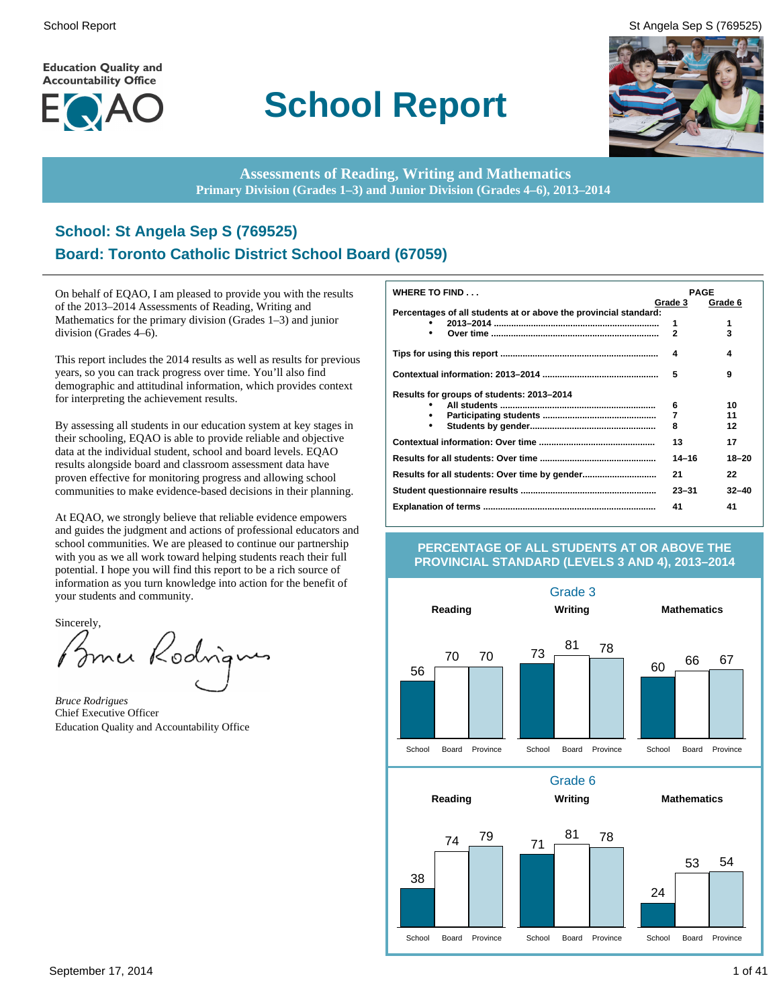**Education Quality and Accountability Office** 



## **School Report**





**Assessments of Reading, Writing and Mathematics Primary Division (Grades 1–3) and Junior Division (Grades 4–6), 2013–2014**

#### **School: St Angela Sep S (769525) Board: Toronto Catholic District School Board (67059)**

On behalf of EQAO, I am pleased to provide you with the results of the 2013–2014 Assessments of Reading, Writing and Mathematics for the primary division (Grades 1–3) and junior division (Grades 4–6).

This report includes the 2014 results as well as results for previous years, so you can track progress over time. You'll also find demographic and attitudinal information, which provides context for interpreting the achievement results.

By assessing all students in our education system at key stages in their schooling, EQAO is able to provide reliable and objective data at the individual student, school and board levels. EQAO results alongside board and classroom assessment data have proven effective for monitoring progress and allowing school communities to make evidence-based decisions in their planning.

At EQAO, we strongly believe that reliable evidence empowers and guides the judgment and actions of professional educators and school communities. We are pleased to continue our partnership with you as we all work toward helping students reach their full potential. I hope you will find this report to be a rich source of information as you turn knowledge into action for the benefit of your students and community.

Sincerely,<br>Burner Rodrigu

*Bruce Rodrigues* Chief Executive Officer Education Quality and Accountability Office

| <b>WHERE TO FIND</b>                                             | <b>PAGE</b> |           |
|------------------------------------------------------------------|-------------|-----------|
|                                                                  | Grade 3     | Grade 6   |
| Percentages of all students at or above the provincial standard: |             | 1         |
| $\bullet$                                                        | 1<br>2      | 3         |
|                                                                  |             |           |
|                                                                  | 4           | 4         |
|                                                                  |             |           |
|                                                                  | 5           | 9         |
| Results for groups of students: 2013-2014                        |             |           |
|                                                                  | 6           | 10        |
|                                                                  | 7           | 11        |
| $\bullet$                                                        | 8           | 12        |
|                                                                  | 13          | 17        |
|                                                                  | $14 - 16$   | 18-20     |
|                                                                  | 21          | 22        |
|                                                                  | $23 - 31$   | $32 - 40$ |
|                                                                  | 41          | 41        |

#### **PERCENTAGE OF ALL STUDENTS AT OR ABOVE THE PROVINCIAL STANDARD (LEVELS 3 AND 4), 2013–2014**

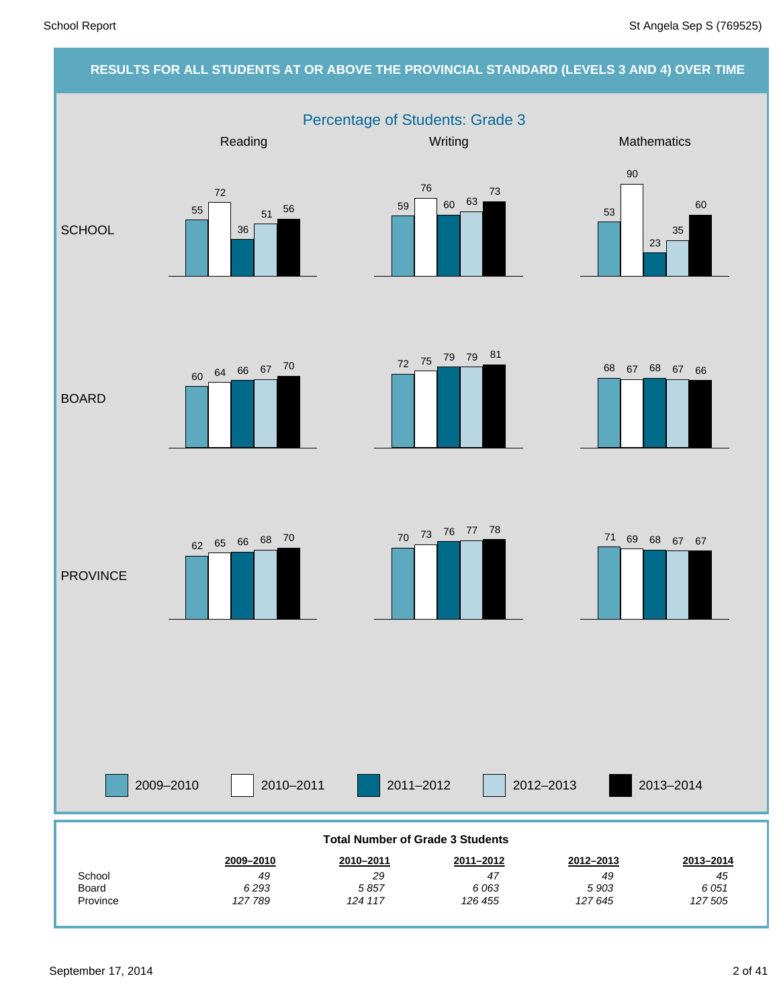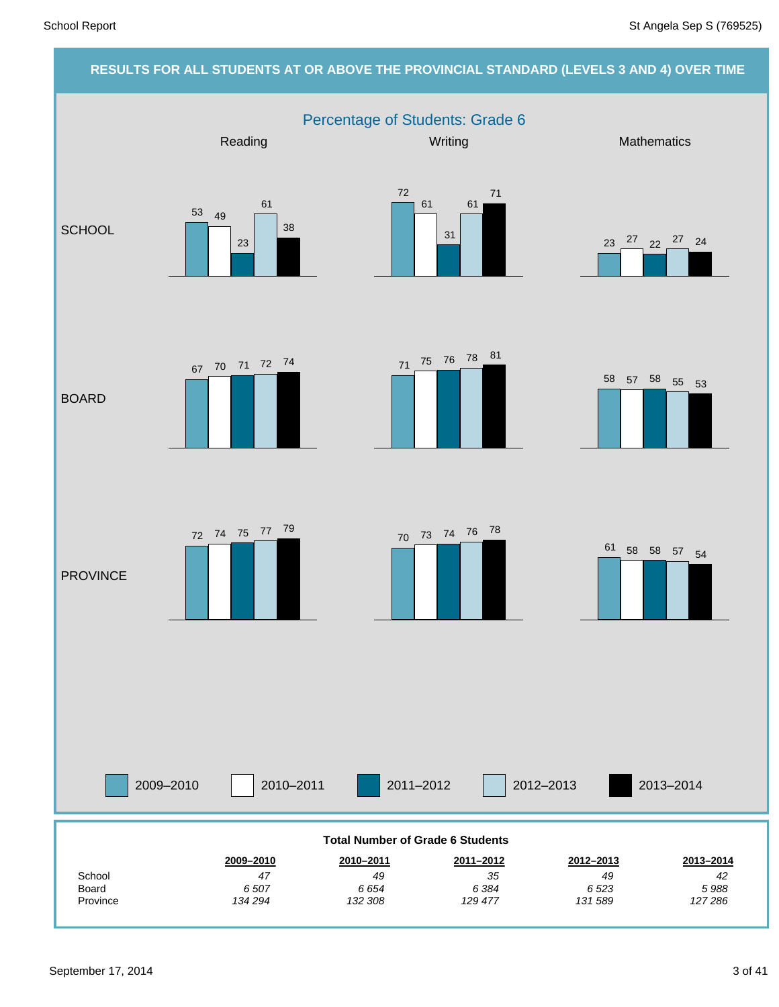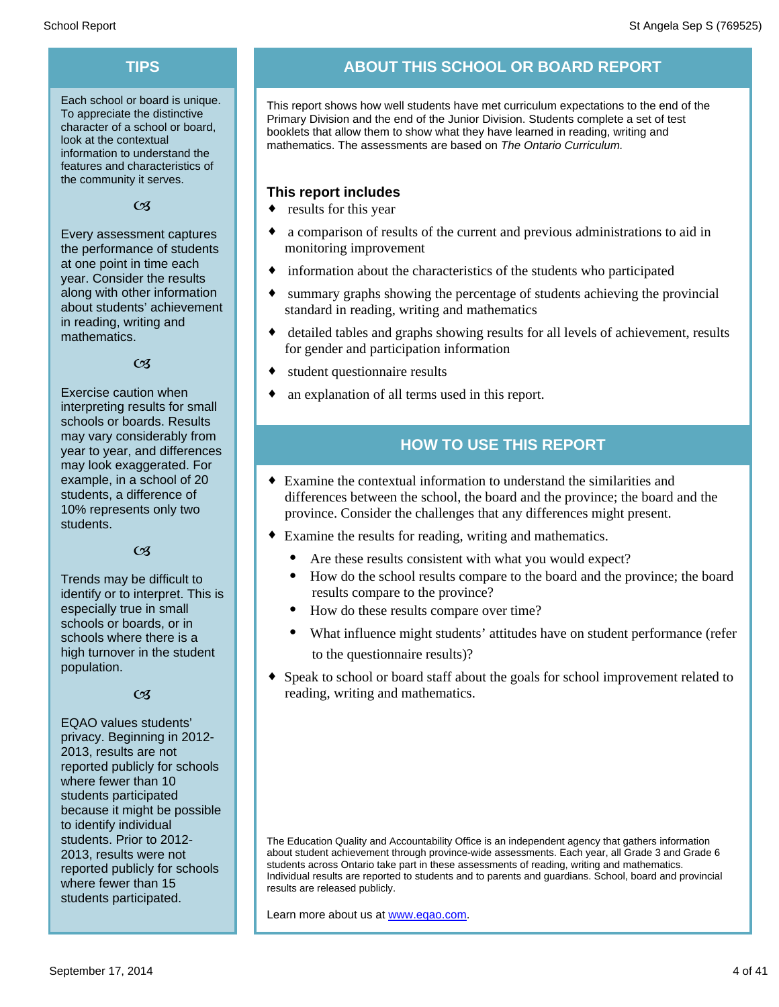Each school or board is unique. To appreciate the distinctive character of a school or board, look at the contextual information to understand the features and characteristics of the community it serves.

 $C<sub>3</sub>$ 

Every assessment captures the performance of students at one point in time each year. Consider the results along with other information about students' achievement in reading, writing and mathematics.

 $C<sub>3</sub>$ 

Exercise caution when interpreting results for small schools or boards. Results may vary considerably from year to year, and differences may look exaggerated. For example, in a school of 20 students, a difference of 10% represents only two students.

#### $C<sub>1</sub>$

Trends may be difficult to identify or to interpret. This is especially true in small schools or boards, or in schools where there is a high turnover in the student population.

#### $C<sub>3</sub>$

EQAO values students' privacy. Beginning in 2012- 2013, results are not reported publicly for schools where fewer than 10 students participated because it might be possible to identify individual students. Prior to 2012- 2013, results were not reported publicly for schools where fewer than 15 students participated.

#### **TIPS ABOUT THIS SCHOOL OR BOARD REPORT**

This report shows how well students have met curriculum expectations to the end of the Primary Division and the end of the Junior Division. Students complete a set of test booklets that allow them to show what they have learned in reading, writing and mathematics. The assessments are based on *The Ontario Curriculum.*

#### **This report includes**

- $\bullet$  results for this year
- $\bullet$  a comparison of results of the current and previous administrations to aid in monitoring improvement
- $\bullet$  information about the characteristics of the students who participated
- summary graphs showing the percentage of students achieving the provincial standard in reading, writing and mathematics
- detailed tables and graphs showing results for all levels of achievement, results for gender and participation information
- student questionnaire results
- an explanation of all terms used in this report.

#### **HOW TO USE THIS REPORT**

- $\bullet$  Examine the contextual information to understand the similarities and differences between the school, the board and the province; the board and the province. Consider the challenges that any differences might present.
- Examine the results for reading, writing and mathematics.
	- Are these results consistent with what you would expect?
	- · How do the school results compare to the board and the province; the board results compare to the province?
	- How do these results compare over time?
	- What influence might students' attitudes have on student performance (refer to the questionnaire results)?
- Speak to school or board staff about the goals for school improvement related to reading, writing and mathematics.

The Education Quality and Accountability Office is an independent agency that gathers information about student achievement through province-wide assessments. Each year, all Grade 3 and Grade 6 students across Ontario take part in these assessments of reading, writing and mathematics. Individual results are reported to students and to parents and guardians. School, board and provincial results are released publicly.

Learn more about us at www.eqao.com.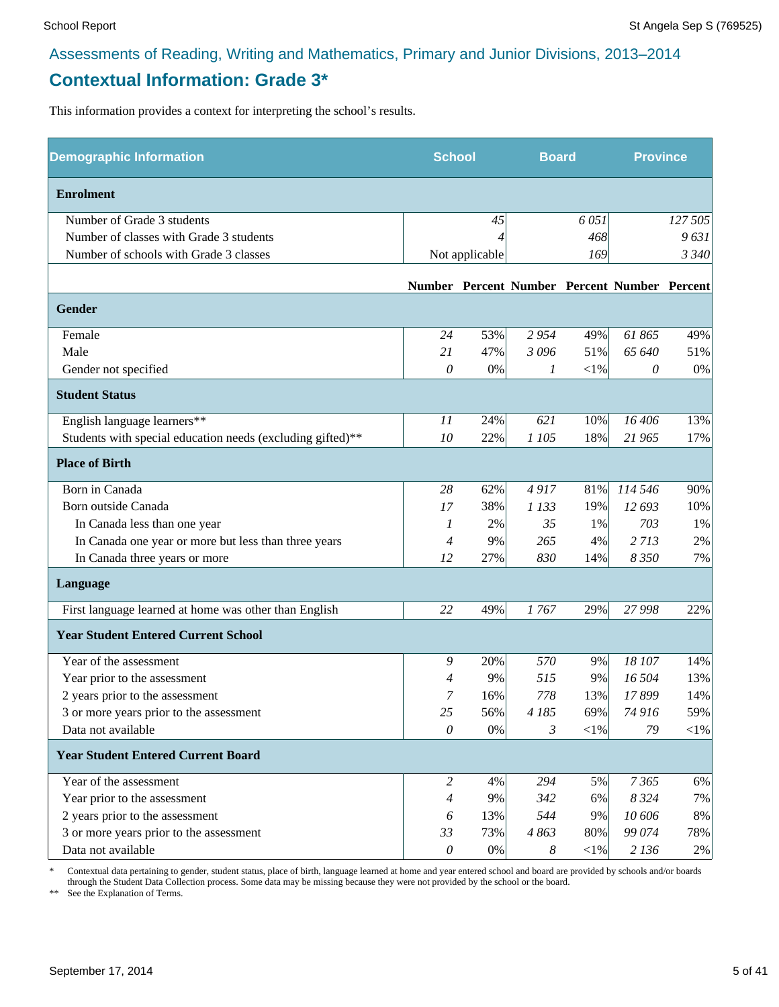#### **Contextual Information: Grade 3\***

This information provides a context for interpreting the school's results.

| <b>Demographic Information</b>                             | <b>School</b>             |                |          | <b>Board</b> |                                              | <b>Province</b> |
|------------------------------------------------------------|---------------------------|----------------|----------|--------------|----------------------------------------------|-----------------|
| <b>Enrolment</b>                                           |                           |                |          |              |                                              |                 |
| Number of Grade 3 students                                 |                           | 45             |          | 6051         |                                              | 127 505         |
| Number of classes with Grade 3 students                    |                           |                |          | 468          |                                              | 9631            |
| Number of schools with Grade 3 classes                     |                           | Not applicable |          | 169          |                                              | 3 3 4 0         |
|                                                            |                           |                |          |              | Number Percent Number Percent Number Percent |                 |
| Gender                                                     |                           |                |          |              |                                              |                 |
| Female                                                     | 24                        | 53%            | 2954     | 49%          | 61865                                        | 49%             |
| Male                                                       | 21                        | 47%            | 3096     | 51%          | 65 640                                       | 51%             |
| Gender not specified                                       | $\theta$                  | 0%             | 1        | $<\!\!1\%$   | 0                                            | 0%              |
| <b>Student Status</b>                                      |                           |                |          |              |                                              |                 |
| English language learners**                                | 11                        | 24%            | 621      | 10%          | 16 40 6                                      | 13%             |
| Students with special education needs (excluding gifted)** | 10                        | 22%            | 1 105    | 18%          | 21 965                                       | 17%             |
| <b>Place of Birth</b>                                      |                           |                |          |              |                                              |                 |
| Born in Canada                                             | 28                        | 62%            | 4917     | 81%          | 114 546                                      | 90%             |
| Born outside Canada                                        | 17                        | 38%            | 1 1 3 3  | 19%          | 12 693                                       | 10%             |
| In Canada less than one year                               | 1                         | 2%             | 35       | 1%           | 703                                          | 1%              |
| In Canada one year or more but less than three years       | $\overline{4}$            | 9%             | 265      | 4%           | 2713                                         | 2%              |
| In Canada three years or more                              | 12                        | 27%            | 830      | 14%          | 8 3 5 0                                      | 7%              |
| Language                                                   |                           |                |          |              |                                              |                 |
| First language learned at home was other than English      | 22                        | 49%            | 1767     | 29%          | 27 998                                       | 22%             |
| <b>Year Student Entered Current School</b>                 |                           |                |          |              |                                              |                 |
| Year of the assessment                                     | 9                         | 20%            | 570      | 9%           | 18 107                                       | 14%             |
| Year prior to the assessment                               | 4                         | 9%             | 515      | 9%           | 16 504                                       | 13%             |
| 2 years prior to the assessment                            | 7                         | 16%            | 778      | 13%          | 17899                                        | 14%             |
| 3 or more years prior to the assessment                    | 25                        | 56%            | 4 185    | 69%          | 74 916                                       | 59%             |
| Data not available                                         | $\mathcal O$              | 0%             | 3        | $<$ 1%       | 79                                           | $<$ 1%          |
| <b>Year Student Entered Current Board</b>                  |                           |                |          |              |                                              |                 |
| Year of the assessment                                     | $\overline{2}$            | 4%             | 294      | 5%           | 7365                                         | 6%              |
| Year prior to the assessment                               | $\overline{4}$            | 9%             | 342      | 6%           | 8 3 2 4                                      | 7%              |
| 2 years prior to the assessment                            | 6                         | 13%            | 544      | 9%           | 10 60 6                                      | 8%              |
| 3 or more years prior to the assessment                    | 33                        | 73%            | 4863     | 80%          | 99 074                                       | 78%             |
| Data not available                                         | $\boldsymbol{\mathit{0}}$ | 0%             | $\delta$ | ${<}1\%$     | 2 1 3 6                                      | 2%              |

\* Contextual data pertaining to gender, student status, place of birth, language learned at home and year entered school and board are provided by schools and/or boards through the Student Data Collection process. Some data may be missing because they were not provided by the school or the board.

\*\* See the Explanation of Terms.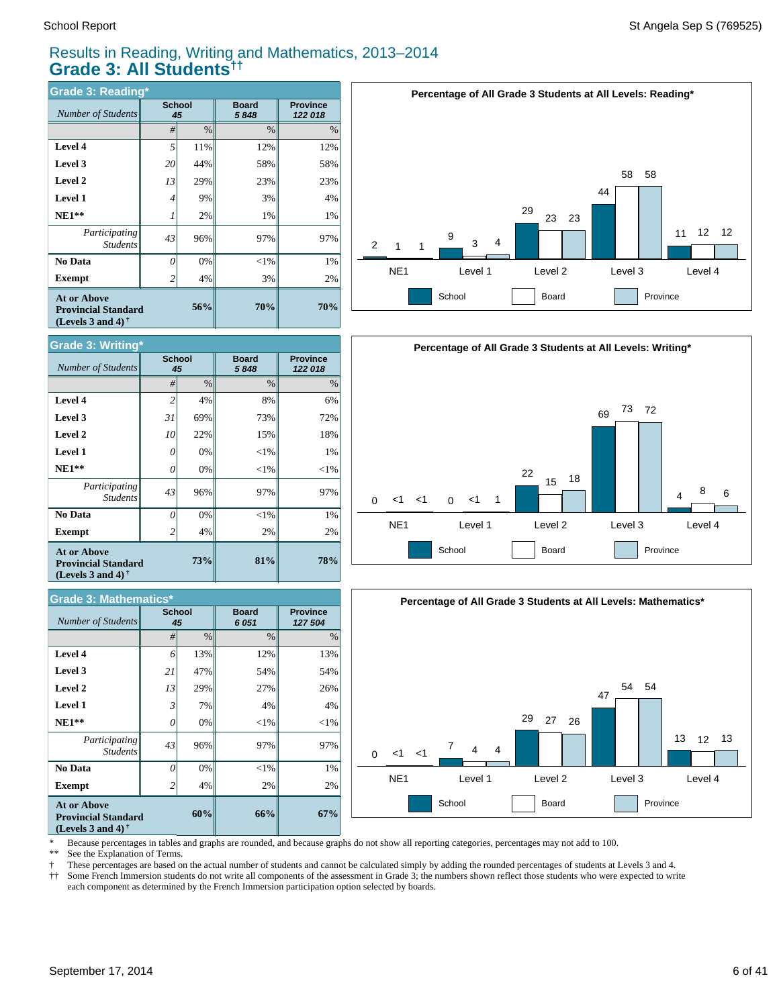#### Results in Reading, Writing and Mathematics, 2013–2014 **Grade 3: All Students††**

| <b>Grade 3: Reading*</b>                                                       |                |              |                      |                            |  |  |  |  |
|--------------------------------------------------------------------------------|----------------|--------------|----------------------|----------------------------|--|--|--|--|
| Number of Students                                                             |                | School<br>45 | <b>Board</b><br>5848 | <b>Province</b><br>122 018 |  |  |  |  |
|                                                                                | #              | $\%$         | $\%$                 | %                          |  |  |  |  |
| Level 4                                                                        | 5              | 11%          | 12%                  | 12%                        |  |  |  |  |
| Level 3                                                                        | 20             | 44%          | 58%                  | 58%                        |  |  |  |  |
| Level 2                                                                        | 13             | 29%          | 23%                  | 23%                        |  |  |  |  |
| <b>Level 1</b>                                                                 | 4              | 9%           | 3%                   | 4%                         |  |  |  |  |
| $NE1**$                                                                        |                | 2%           | 1%                   | 1%                         |  |  |  |  |
| Participating<br><b>Students</b>                                               | 43             | 96%          | 97%                  | 97%                        |  |  |  |  |
| No Data                                                                        | 0              | 0%           | $<$ 1%               | 1%                         |  |  |  |  |
| Exempt                                                                         | $\overline{c}$ | 4%           | 3%                   | 2%                         |  |  |  |  |
| <b>At or Above</b><br><b>Provincial Standard</b><br>(Levels 3 and 4) $\bar{ }$ |                | 56%          | 70%                  | 70%                        |  |  |  |  |



| <b>Grade 3: Mathematics*</b>                                                   |    |                     |                      |                            |  |  |  |  |  |
|--------------------------------------------------------------------------------|----|---------------------|----------------------|----------------------------|--|--|--|--|--|
| <b>Number of Students</b>                                                      |    | <b>School</b><br>45 | <b>Board</b><br>6051 | <b>Province</b><br>127 504 |  |  |  |  |  |
|                                                                                | #  | %                   | %                    | %                          |  |  |  |  |  |
| Level 4                                                                        | 6  | 13%                 | 12%                  | 13%                        |  |  |  |  |  |
| Level 3                                                                        | 21 | 47%                 | 54%                  | 54%                        |  |  |  |  |  |
| Level 2                                                                        | 13 | 29%                 | 27%                  | 26%                        |  |  |  |  |  |
| <b>Level 1</b>                                                                 | 3  | 7%                  | 4%                   | 4%                         |  |  |  |  |  |
| $NE1**$                                                                        | 0  | 0%                  | $<$ 1%               | ${<}1\%$                   |  |  |  |  |  |
| Participating<br><b>Students</b>                                               | 43 | 96%                 | 97%                  | 97%                        |  |  |  |  |  |
| No Data                                                                        | 0  | 0%                  | $<$ 1%               | 1%                         |  |  |  |  |  |
| <b>Exempt</b>                                                                  | 2  | 4%                  | 2%                   | 2%                         |  |  |  |  |  |
| <b>At or Above</b><br><b>Provincial Standard</b><br>(Levels 3 and 4) $\dagger$ |    | 66%                 | 67%                  |                            |  |  |  |  |  |







\* Because percentages in tables and graphs are rounded, and because graphs do not show all reporting categories, percentages may not add to 100.

ž \*\* See the Explanation of Terms.

Í These percentages are based on the actual number of students and cannot be calculated simply by adding the rounded percentages of students at Levels 3 and 4.

† †† Some French Immersion students do not write all components of the assessment in Grade 3; the numbers shown reflect those students who were expected to write each component as determined by the French Immersion participation option selected by boards.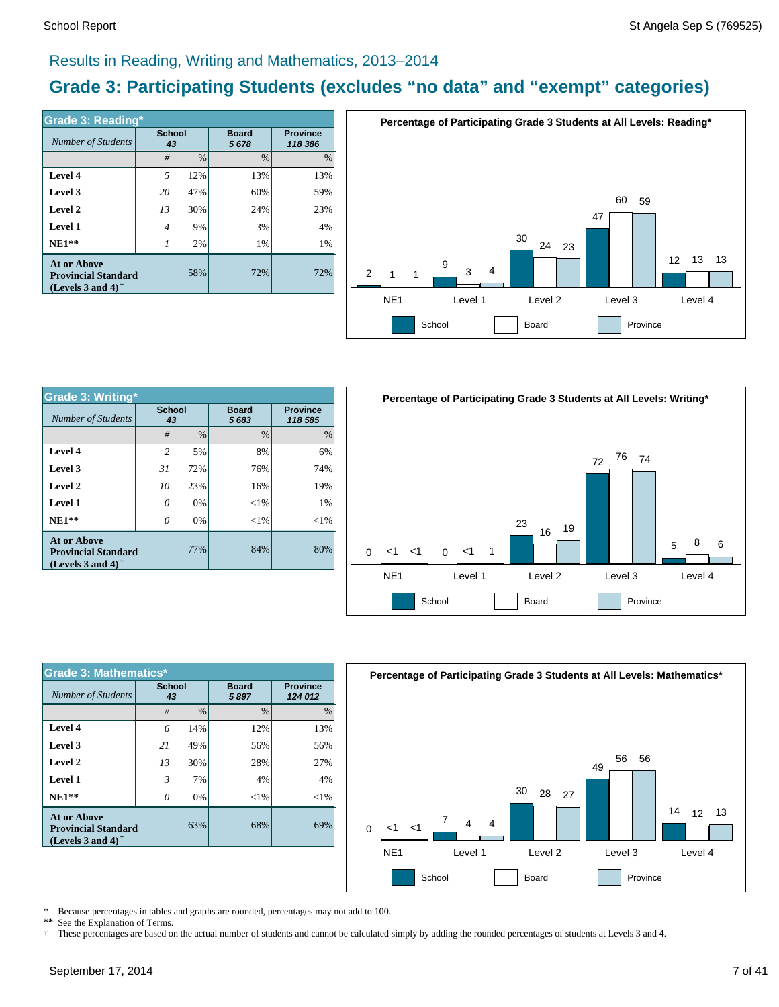#### Results in Reading, Writing and Mathematics, 2013–2014

#### **Grade 3: Participating Students (excludes "no data" and "exempt" categories)**

| <b>Grade 3: Reading*</b>                                                       |                     |               |                      |                            |  |  |  |  |
|--------------------------------------------------------------------------------|---------------------|---------------|----------------------|----------------------------|--|--|--|--|
| Number of Students                                                             | <b>School</b><br>43 |               | <b>Board</b><br>5678 | <b>Province</b><br>118 386 |  |  |  |  |
|                                                                                | #                   | $\frac{0}{0}$ | $\%$                 | $\%$                       |  |  |  |  |
| Level 4                                                                        | 5                   | 12%           | 13%                  | 13%                        |  |  |  |  |
| Level 3                                                                        | 20                  | 47%           | 60%                  | 59%                        |  |  |  |  |
| Level 2                                                                        | 13                  | 30%           | 24%                  | 23%                        |  |  |  |  |
| <b>Level 1</b>                                                                 | 4                   | 9%            | 3%                   | 4%                         |  |  |  |  |
| $NE1**$                                                                        |                     | 2%            | 1%                   | 1%                         |  |  |  |  |
| <b>At or Above</b><br><b>Provincial Standard</b><br>(Levels 3 and 4) $\dagger$ |                     | 58%           | 72%                  | 72%                        |  |  |  |  |



| <b>Grade 3: Writing*</b>                                                |                     |               |                      |        |  |  |
|-------------------------------------------------------------------------|---------------------|---------------|----------------------|--------|--|--|
| Number of Students                                                      | <b>School</b><br>43 |               | <b>Board</b><br>5683 |        |  |  |
|                                                                         | #                   | $\frac{0}{0}$ | $\frac{0}{0}$        | $\%$   |  |  |
| Level 4                                                                 | $\overline{c}$      | 5%            | 8%                   | 6%     |  |  |
| Level 3                                                                 | 31                  | 72%           | 76%                  | 74%    |  |  |
| Level 2                                                                 | 10                  | 23%           | 16%                  | 19%    |  |  |
| <b>Level 1</b>                                                          | 0                   | 0%            | ${<}1\%$             | 1%     |  |  |
| $NE1**$                                                                 |                     | 0%            | $< 1\%$              | $<$ 1% |  |  |
| At or Above<br><b>Provincial Standard</b><br>(Levels 3 and 4) $\dagger$ |                     | 77%           | 84%                  | 80%    |  |  |



| <b>Grade 3: Mathematics*</b>                                                   |                     |               |                      |                            |  |  |  |  |
|--------------------------------------------------------------------------------|---------------------|---------------|----------------------|----------------------------|--|--|--|--|
| <b>Number of Students</b>                                                      | <b>School</b><br>43 |               | <b>Board</b><br>5897 | <b>Province</b><br>124 012 |  |  |  |  |
|                                                                                | #                   | $\frac{0}{0}$ | $\frac{0}{0}$        | $\%$                       |  |  |  |  |
| Level 4                                                                        | 6                   | 14%           | 12%                  | 13%                        |  |  |  |  |
| Level 3                                                                        | 21                  | 49%           | 56%                  | 56%                        |  |  |  |  |
| Level 2                                                                        | 13                  | 30%           | 28%                  | 27%                        |  |  |  |  |
| Level 1                                                                        | 3                   | 7%            | 4%                   | 4%                         |  |  |  |  |
| $NE1**$                                                                        | O                   | 0%            | $<$ 1%               | $< 1\%$                    |  |  |  |  |
| <b>At or Above</b><br><b>Provincial Standard</b><br>(Levels 3 and 4) $\dagger$ |                     | 68%           | 69%                  |                            |  |  |  |  |



\* Because percentages in tables and graphs are rounded, percentages may not add to 100.

**\*\*** See the Explanation of Terms.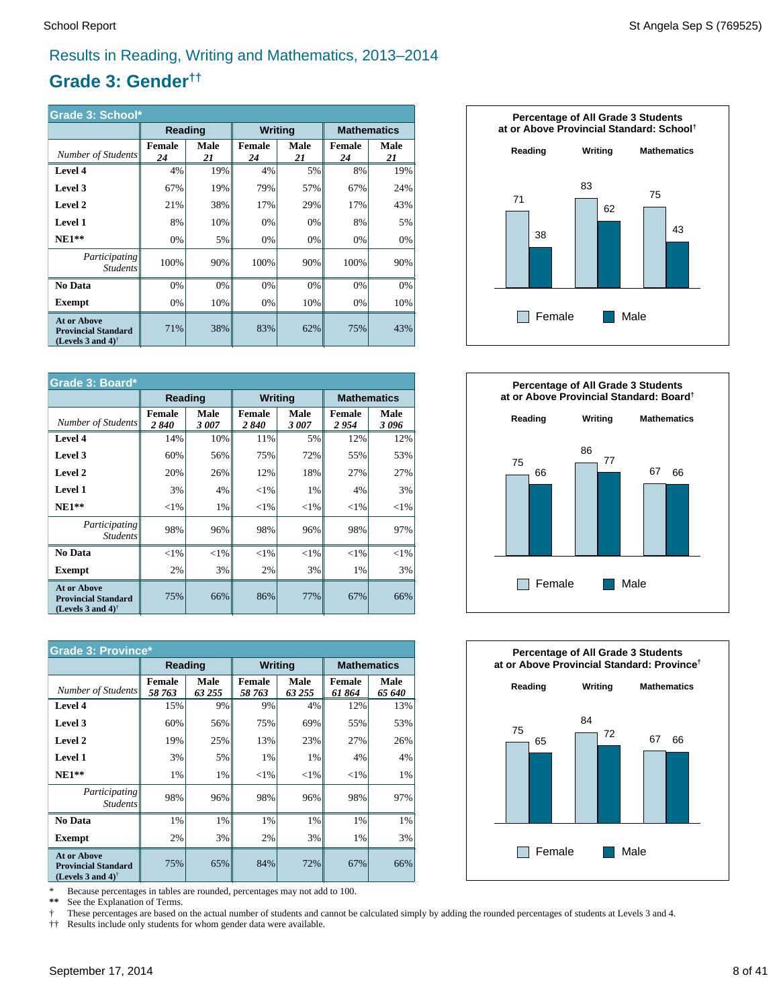#### Results in Reading, Writing and Mathematics, 2013–2014

#### **Grade 3: Gender††**

| Grade 3: School*                                                                  |                     |            |                     |            |                     |            |  |  |
|-----------------------------------------------------------------------------------|---------------------|------------|---------------------|------------|---------------------|------------|--|--|
|                                                                                   | Reading             |            | <b>Writing</b>      |            | <b>Mathematics</b>  |            |  |  |
| Number of Students                                                                | <b>Female</b><br>24 | Male<br>21 | <b>Female</b><br>24 | Male<br>21 | <b>Female</b><br>24 | Male<br>21 |  |  |
| Level 4                                                                           | 4%                  | 19%        | 4%                  | 5%         | 8%                  | 19%        |  |  |
| Level 3                                                                           | 67%                 | 19%        | 79%                 | 57%        | 67%                 | 24%        |  |  |
| Level 2                                                                           | 21%                 | 38%        | 17%                 | 29%        | 17%                 | 43%        |  |  |
| <b>Level 1</b>                                                                    | 8%                  | 10%        | 0%                  | 0%         | 8%                  | 5%         |  |  |
| $NE1**$                                                                           | 0%                  | 5%         | 0%                  | 0%         | 0%                  | 0%         |  |  |
| Participating<br><b>Students</b>                                                  | 100%                | 90%        | 100%                | 90%        | 100%                | 90%        |  |  |
| No Data                                                                           | 0%                  | 0%         | 0%                  | 0%         | 0%                  | 0%         |  |  |
| <b>Exempt</b>                                                                     | 0%                  | 10%        | 0%                  | 10%        | 0%                  | 10%        |  |  |
| <b>At or Above</b><br><b>Provincial Standard</b><br>(Levels 3 and 4) <sup>†</sup> | 71%                 | 38%        | 83%                 | 62%        | 75%                 | 43%        |  |  |

| Grade 3: Board*                                                                                      |                |              |                |              |                    |              |  |
|------------------------------------------------------------------------------------------------------|----------------|--------------|----------------|--------------|--------------------|--------------|--|
|                                                                                                      | Reading        |              | <b>Writing</b> |              | <b>Mathematics</b> |              |  |
| Number of Students                                                                                   | Female<br>2840 | Male<br>3007 | Female<br>2840 | Male<br>3007 | Female<br>2954     | Male<br>3096 |  |
| Level 4                                                                                              | 14%            | 10%          | 11%            | 5%           | 12%                | 12%          |  |
| Level 3                                                                                              | 60%            | 56%          | 75%            | 72%          | 55%                | 53%          |  |
| Level 2                                                                                              | 20%            | 26%          | 12%            | 18%          | 27%                | 27%          |  |
| <b>Level 1</b>                                                                                       | 3%             | 4%           | ${<}1\%$       | 1%           | 4%                 | 3%           |  |
| $NE1**$                                                                                              | ${<}1\%$       | 1%           | ${<}1\%$       | $<$ 1%       | ${<}1\%$           | ${<}1\%$     |  |
| Participating<br><b>Students</b>                                                                     | 98%            | 96%          | 98%            | 96%          | 98%                | 97%          |  |
| No Data                                                                                              | ${<}1\%$       | ${<}1\%$     | $<$ 1%         | ${<}1\%$     | $<$ 1%             | $<$ 1%       |  |
| <b>Exempt</b>                                                                                        | 2%             | 3%           | 2%             | 3%           | 1%                 | 3%           |  |
| <b>At or Above</b><br><b>Provincial Standard</b><br>(Levels 3 and 4) <sup><math>\dagger</math></sup> | 75%            | 66%          | 86%            | 77%          | 67%                | 66%          |  |

| <b>Grade 3: Province*</b>                                                                            |                  |                |                  |                |                    |                |  |  |
|------------------------------------------------------------------------------------------------------|------------------|----------------|------------------|----------------|--------------------|----------------|--|--|
|                                                                                                      | Reading          |                | <b>Writing</b>   |                | <b>Mathematics</b> |                |  |  |
| Number of Students                                                                                   | Female<br>58 763 | Male<br>63 255 | Female<br>58 763 | Male<br>63 255 | Female<br>61864    | Male<br>65 640 |  |  |
| Level 4                                                                                              | 15%              | 9%             | 9%               | 4%             | 12%                | 13%            |  |  |
| Level 3                                                                                              | 60%              | 56%            | 75%              | 69%            | 55%                | 53%            |  |  |
| Level 2                                                                                              | 19%              | 25%            | 13%              | 23%            | 27%                | 26%            |  |  |
| <b>Level 1</b>                                                                                       | 3%               | 5%             | 1%               | 1%             | 4%                 | 4%             |  |  |
| $NE1**$                                                                                              | 1%               | 1%             | ${<}1\%$         | ${<}1\%$       | ${<}1\%$           | 1%             |  |  |
| <i>Participating</i><br><i>Students</i>                                                              | 98%              | 96%            | 98%              | 96%            | 98%                | 97%            |  |  |
| No Data                                                                                              | 1%               | 1%             | 1%               | 1%             | 1%                 | 1%             |  |  |
| <b>Exempt</b>                                                                                        | 2%               | 3%             | 2%               | 3%             | 1%                 | 3%             |  |  |
| <b>At or Above</b><br><b>Provincial Standard</b><br>(Levels 3 and 4) <sup><math>\dagger</math></sup> | 75%              | 65%            | 84%              | 72%            | 67%                | 66%            |  |  |

\* Because percentages in tables are rounded, percentages may not add to 100.

 **\*\*** See the Explanation of Terms.

 † †† These percentages are based on the actual number of students and cannot be calculated simply by adding the rounded percentages of students at Levels 3 and 4.

Results include only students for whom gender data were available.





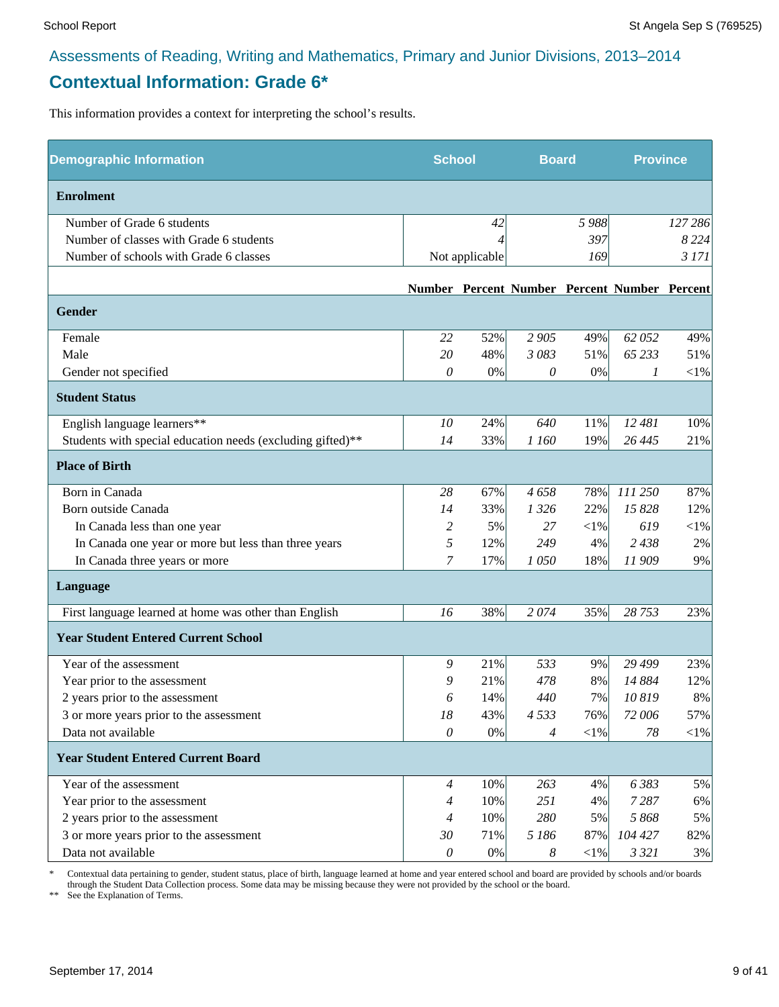#### **Contextual Information: Grade 6\***

This information provides a context for interpreting the school's results.

| <b>Demographic Information</b>                             | <b>School</b>         |                | <b>Board</b> |            | <b>Province</b>                              |            |
|------------------------------------------------------------|-----------------------|----------------|--------------|------------|----------------------------------------------|------------|
| <b>Enrolment</b>                                           |                       |                |              |            |                                              |            |
| Number of Grade 6 students                                 |                       | 42             |              | 5 988      |                                              | 127 286    |
| Number of classes with Grade 6 students                    |                       |                |              | 397        |                                              | 8 2 2 4    |
| Number of schools with Grade 6 classes                     |                       | Not applicable |              | 169        |                                              | 3 171      |
|                                                            |                       |                |              |            | Number Percent Number Percent Number Percent |            |
| <b>Gender</b>                                              |                       |                |              |            |                                              |            |
| Female                                                     | 22                    | 52%            | 2 9 0 5      | 49%        | 62 052                                       | 49%        |
| Male                                                       | 20                    | 48%            | 3 083        | 51%        | 65 233                                       | 51%        |
| Gender not specified                                       | 0                     | 0%             | 0            | 0%         | 1                                            | $<\!\!1\%$ |
| <b>Student Status</b>                                      |                       |                |              |            |                                              |            |
| English language learners**                                | 10                    | 24%            | 640          | 11%        | 12 481                                       | 10%        |
| Students with special education needs (excluding gifted)** | 14                    | 33%            | 1 160        | 19%        | 26 4 45                                      | 21%        |
| <b>Place of Birth</b>                                      |                       |                |              |            |                                              |            |
| Born in Canada                                             | 28                    | 67%            | 4658         | 78%        | 111 250                                      | 87%        |
| Born outside Canada                                        | 14                    | 33%            | 1 3 2 6      | 22%        | 15 828                                       | 12%        |
| In Canada less than one year                               | 2                     | 5%             | 27           | $<\!\!1\%$ | 619                                          | $<\!\!1\%$ |
| In Canada one year or more but less than three years       | 5                     | 12%            | 249          | 4%         | 2 4 3 8                                      | $2\%$      |
| In Canada three years or more                              | 7                     | 17%            | 1050         | 18%        | 11909                                        | 9%         |
| Language                                                   |                       |                |              |            |                                              |            |
| First language learned at home was other than English      | 16                    | 38%            | 2074         | 35%        | 28 753                                       | 23%        |
| <b>Year Student Entered Current School</b>                 |                       |                |              |            |                                              |            |
| Year of the assessment                                     | 9                     | 21%            | 533          | 9%         | 29 499                                       | 23%        |
| Year prior to the assessment                               | 9                     | 21%            | 478          | 8%         | 14 884                                       | 12%        |
| 2 years prior to the assessment                            | 6                     | 14%            | 440          | 7%         | 10819                                        | 8%         |
| 3 or more years prior to the assessment                    | 18                    | 43%            | 4533         | 76%        | 72 006                                       | 57%        |
| Data not available                                         | 0                     | $0\%$          | 4            | ${<}1\%$   | 78                                           | $<$ 1%     |
| <b>Year Student Entered Current Board</b>                  |                       |                |              |            |                                              |            |
| Year of the assessment                                     | $\overline{4}$        | 10%            | 263          | 4%         | 6383                                         | 5%         |
| Year prior to the assessment                               | $\overline{4}$        | 10%            | 251          | 4%         | 7287                                         | 6%         |
| 2 years prior to the assessment                            | $\overline{4}$        | 10%            | 280          | 5%         | 5868                                         | 5%         |
| 3 or more years prior to the assessment                    | 30                    | 71%            | 5 186        | 87%        | 104 427                                      | 82%        |
| Data not available                                         | $\boldsymbol{\theta}$ | $0\%$          | 8            | $<$ l $%$  | 3 3 2 1                                      | 3%         |

\* Contextual data pertaining to gender, student status, place of birth, language learned at home and year entered school and board are provided by schools and/or boards through the Student Data Collection process. Some data may be missing because they were not provided by the school or the board.

\*\* See the Explanation of Terms.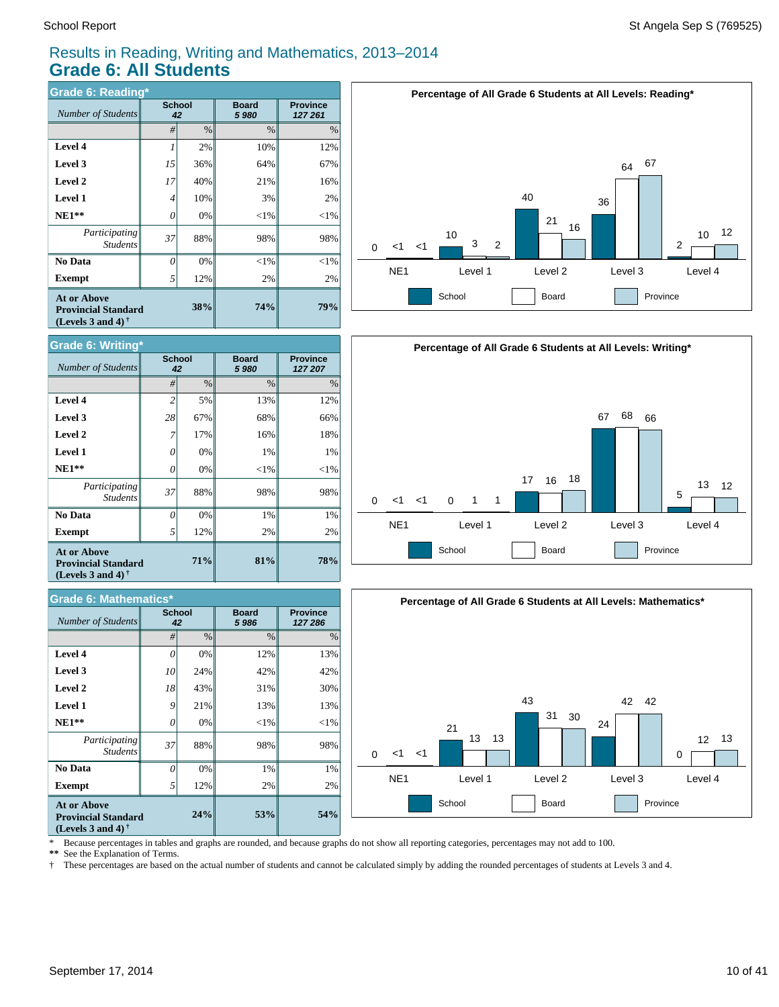64 67

10 12

#### Results in Reading, Writing and Mathematics, 2013–2014 **Grade 6: All Students**

| <b>Grade 6: Reading*</b>                                                                             |    |                     |                      |                            |  |  |  |  |
|------------------------------------------------------------------------------------------------------|----|---------------------|----------------------|----------------------------|--|--|--|--|
| Number of Students                                                                                   |    | <b>School</b><br>42 | <b>Board</b><br>5980 | <b>Province</b><br>127 261 |  |  |  |  |
|                                                                                                      | #  | $\frac{0}{0}$       | $\%$                 | $\%$                       |  |  |  |  |
| Level 4                                                                                              |    | 2%                  | 10%                  | 12%                        |  |  |  |  |
| Level 3                                                                                              | 15 | 36%                 | 64%                  | 67%                        |  |  |  |  |
| Level 2                                                                                              | 17 | 40%                 | 21%                  | 16%                        |  |  |  |  |
| <b>Level 1</b>                                                                                       | 4  | 10%                 | 3%                   | 2%                         |  |  |  |  |
| $NE1**$                                                                                              | 0  | 0%                  | ${<}1\%$             | ${<}1\%$                   |  |  |  |  |
| Participating<br><b>Students</b>                                                                     | 37 | 88%                 | 98%                  | 98%                        |  |  |  |  |
| No Data                                                                                              | 0  | 0%                  | $<\!\!1\%$           | $<$ 1%                     |  |  |  |  |
| Exempt                                                                                               | 5  | 12%                 | 2%                   | 2%                         |  |  |  |  |
| <b>At or Above</b><br><b>Provincial Standard</b><br>(Levels 3 and 4) <sup><math>\dagger</math></sup> |    | 38%                 | 74%                  | 79%                        |  |  |  |  |



40

**Percentage of All Grade 6 Students at All Levels: Reading\***

| <b>Grade 6: Writing*</b>                                                                             |                     |      |                      |                            |  |  |  |  |
|------------------------------------------------------------------------------------------------------|---------------------|------|----------------------|----------------------------|--|--|--|--|
| Number of Students                                                                                   | <b>School</b><br>42 |      | <b>Board</b><br>5980 | <b>Province</b><br>127 207 |  |  |  |  |
|                                                                                                      | #                   | $\%$ | $\%$                 | $\%$                       |  |  |  |  |
| Level 4                                                                                              | $\overline{c}$      | 5%   | 13%                  | 12%                        |  |  |  |  |
| Level 3                                                                                              | 28                  | 67%  | 68%                  | 66%                        |  |  |  |  |
| Level 2                                                                                              |                     | 17%  | 16%                  | 18%                        |  |  |  |  |
| <b>Level 1</b>                                                                                       | O                   | 0%   | 1%                   | 1%                         |  |  |  |  |
| $NE1**$                                                                                              | 0                   | 0%   | $<$ 1%               | $<$ 1%                     |  |  |  |  |
| Participating<br><b>Students</b>                                                                     | 37                  | 88%  | 98%                  | 98%                        |  |  |  |  |
| No Data                                                                                              | 0                   | 0%   | 1%                   | 1%                         |  |  |  |  |
| Exempt                                                                                               | 5                   | 12%  | 2%                   | 2%                         |  |  |  |  |
| <b>At or Above</b><br><b>Provincial Standard</b><br>(Levels 3 and 4) <sup><math>\dagger</math></sup> |                     | 71%  | 81%                  | 78%                        |  |  |  |  |

| <b>Grade 6: Mathematics*</b>                                                   |                     |      |                      |                            |  |  |  |
|--------------------------------------------------------------------------------|---------------------|------|----------------------|----------------------------|--|--|--|
| <b>Number of Students</b>                                                      | <b>School</b><br>42 |      | <b>Board</b><br>5986 | <b>Province</b><br>127 286 |  |  |  |
|                                                                                | #                   | $\%$ | $\%$                 | $\%$                       |  |  |  |
| Level 4                                                                        | 0                   | 0%   | 12%                  | 13%                        |  |  |  |
| Level 3                                                                        | 10                  | 24%  | 42%                  | 42%                        |  |  |  |
| Level 2                                                                        | 18                  | 43%  | 31%                  | 30%                        |  |  |  |
| <b>Level 1</b>                                                                 | 9                   | 21%  | 13%                  | 13%                        |  |  |  |
| $NE1**$                                                                        | 0                   | 0%   | $<$ 1%               | $<$ 1%                     |  |  |  |
| Participating<br><b>Students</b>                                               | 37                  | 88%  | 98%                  | 98%                        |  |  |  |
| No Data                                                                        | $\theta$            | 0%   | 1%                   | 1%                         |  |  |  |
| Exempt                                                                         | 5                   | 12%  | 2%                   | 2%                         |  |  |  |
| <b>At or Above</b><br><b>Provincial Standard</b><br>(Levels 3 and 4) $\dagger$ |                     | 24%  | 53%                  | 54%                        |  |  |  |





\* Because percentages in tables and graphs are rounded, and because graphs do not show all reporting categories, percentages may not add to 100.<br>\*\* See the Explanation of Terms.

See the Explanation of Terms.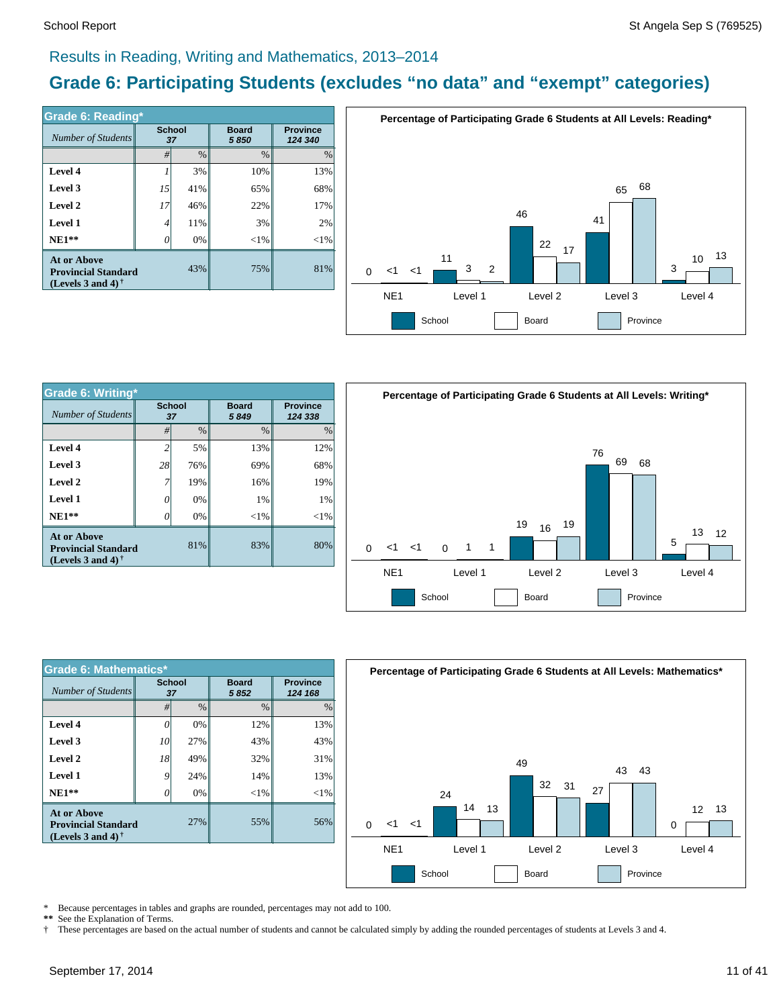#### Results in Reading, Writing and Mathematics, 2013–2014

### **Grade 6: Participating Students (excludes "no data" and "exempt" categories)**

| <b>Grade 6: Reading*</b>                                                              |                     |      |                      |                            |  |  |  |
|---------------------------------------------------------------------------------------|---------------------|------|----------------------|----------------------------|--|--|--|
| Number of Students                                                                    | <b>School</b><br>37 |      | <b>Board</b><br>5850 | <b>Province</b><br>124 340 |  |  |  |
|                                                                                       | #                   | $\%$ | $\%$                 | $\frac{0}{0}$              |  |  |  |
| Level 4                                                                               |                     | 3%   | 10%                  | 13%                        |  |  |  |
| Level 3                                                                               | 15                  | 41%  | 65%                  | 68%                        |  |  |  |
| Level 2                                                                               | 17                  | 46%  | 22%                  | 17%                        |  |  |  |
| <b>Level 1</b>                                                                        | 4                   | 11%  | 3%                   | 2%                         |  |  |  |
| $NE1**$                                                                               | 0                   | 0%   | $<$ 1%               | $<$ 1%                     |  |  |  |
| <b>At or Above</b><br>43%<br><b>Provincial Standard</b><br>(Levels 3 and 4) $\dagger$ |                     |      | 75%                  | 81%                        |  |  |  |



| <b>Grade 6: Writing*</b>                                                |                |                     |                      |                            | Perce           |
|-------------------------------------------------------------------------|----------------|---------------------|----------------------|----------------------------|-----------------|
| Number of Students                                                      |                | <b>School</b><br>37 | <b>Board</b><br>5849 | <b>Province</b><br>124 338 |                 |
|                                                                         | #              | $\frac{0}{0}$       | $\frac{0}{0}$        | $\%$                       |                 |
| Level 4                                                                 | $\overline{c}$ | 5%                  | 13%                  | 12%                        |                 |
| Level 3                                                                 | 28             | 76%                 | 69%                  | 68%                        |                 |
| Level 2                                                                 | 7              | 19%                 | 16%                  | 19%                        |                 |
| <b>Level 1</b>                                                          | 0              | 0%                  | 1%                   | 1%                         |                 |
| $NE1**$                                                                 | 0              | $0\%$               | ${<}1\%$             | $<$ 1%                     |                 |
| At or Above<br><b>Provincial Standard</b><br>(Levels 3 and 4) $\dagger$ |                | 81%                 | 83%                  | 80%                        | <1<br>∩         |
|                                                                         |                |                     |                      |                            | NF <sub>1</sub> |



| <b>Grade 6: Mathematics*</b>                                                          |              |      |                      |                            |  |  |  |
|---------------------------------------------------------------------------------------|--------------|------|----------------------|----------------------------|--|--|--|
| <b>Number of Students</b>                                                             | School<br>37 |      | <b>Board</b><br>5852 | <b>Province</b><br>124 168 |  |  |  |
|                                                                                       | #            | $\%$ | $\frac{0}{0}$        | $\frac{0}{0}$              |  |  |  |
| Level 4                                                                               | 0            | 0%   | 12%                  | 13%                        |  |  |  |
| Level 3                                                                               | 10           | 27%  | 43%                  | 43%                        |  |  |  |
| Level 2                                                                               | 18           | 49%  | 32%                  | 31%                        |  |  |  |
| Level 1                                                                               | 9            | 24%  | 14%                  | 13%                        |  |  |  |
| $NE1**$                                                                               |              | 0%   | $<$ 1%               | $<$ 1%                     |  |  |  |
| <b>At or Above</b><br>27%<br><b>Provincial Standard</b><br>(Levels 3 and 4) $\dagger$ |              |      | 55%                  | 56%                        |  |  |  |



\* Because percentages in tables and graphs are rounded, percentages may not add to 100.

\*\* See the Explanation of Terms.<br>† These percentages are based o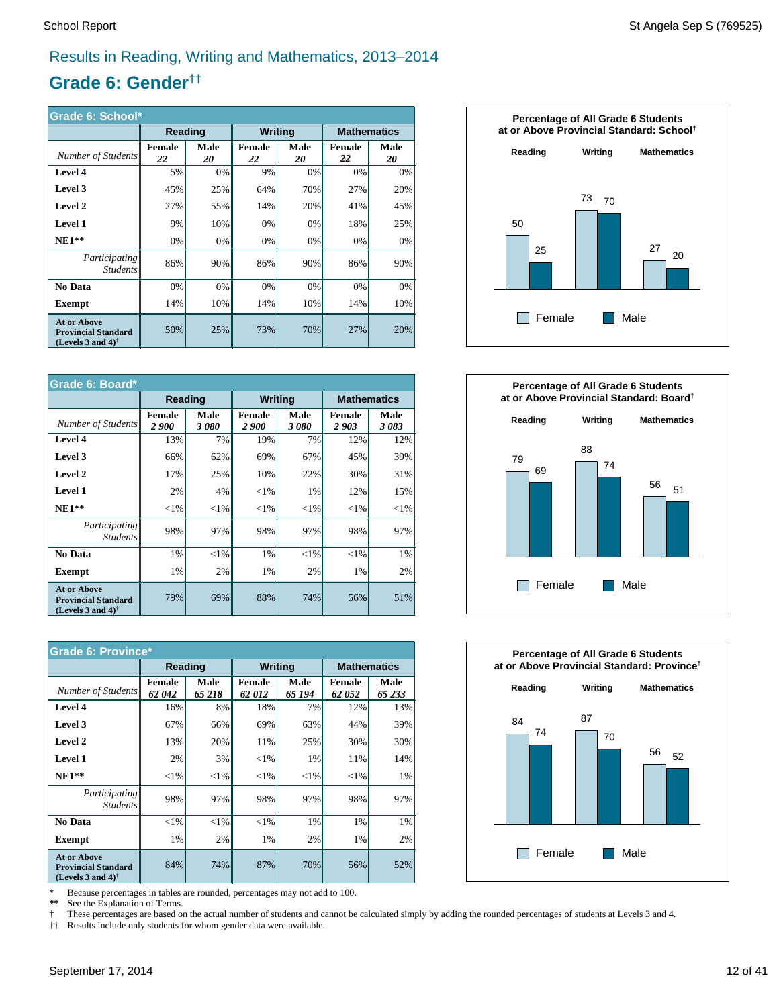#### Results in Reading, Writing and Mathematics, 2013–2014

#### **Grade 6: Gender††**

| Grade 6: School*                                                                                     |              |                   |                     |            |                     |            |  |
|------------------------------------------------------------------------------------------------------|--------------|-------------------|---------------------|------------|---------------------|------------|--|
|                                                                                                      | Reading      |                   | <b>Writing</b>      |            | <b>Mathematics</b>  |            |  |
| Number of Students                                                                                   | Female<br>22 | <b>Male</b><br>20 | <b>Female</b><br>22 | Male<br>20 | <b>Female</b><br>22 | Male<br>20 |  |
| Level 4                                                                                              | 5%           | 0%                | 9%                  | 0%         | 0%                  | 0%         |  |
| Level 3                                                                                              | 45%          | 25%               | 64%                 | 70%        | 27%                 | 20%        |  |
| Level 2                                                                                              | 27%          | 55%               | 14%                 | 20%        | 41%                 | 45%        |  |
| <b>Level 1</b>                                                                                       | 9%           | 10%               | 0%                  | 0%         | 18%                 | 25%        |  |
| $NE1**$                                                                                              | 0%           | 0%                | 0%                  | 0%         | 0%                  | 0%         |  |
| Participating<br><i>Students</i>                                                                     | 86%          | 90%               | 86%                 | 90%        | 86%                 | 90%        |  |
| <b>No Data</b>                                                                                       | 0%           | 0%                | 0%                  | 0%         | 0%                  | 0%         |  |
| Exempt                                                                                               | 14%          | 10%               | 14%                 | 10%        | 14%                 | 10%        |  |
| <b>At or Above</b><br><b>Provincial Standard</b><br>(Levels 3 and 4) <sup><math>\dagger</math></sup> | 50%          | 25%               | 73%                 | 70%        | 27%                 | 20%        |  |

| Grade 6: Board*                                                                                      |                        |              |                               |                |                       |                    |
|------------------------------------------------------------------------------------------------------|------------------------|--------------|-------------------------------|----------------|-----------------------|--------------------|
|                                                                                                      | Reading                |              |                               | <b>Writing</b> |                       | <b>Mathematics</b> |
| Number of Students                                                                                   | Female<br><b>2</b> 900 | Male<br>3080 | <b>Female</b><br><i>2 900</i> | Male<br>3080   | <b>Female</b><br>2903 | Male<br>3083       |
| Level 4                                                                                              | 13%                    | 7%           | 19%                           | 7%             | 12%                   | 12%                |
| Level 3                                                                                              | 66%                    | 62%          | 69%                           | 67%            | 45%                   | 39%                |
| Level 2                                                                                              | 17%                    | 25%          | 10%                           | 22%            | 30%                   | 31%                |
| <b>Level 1</b>                                                                                       | 2%                     | 4%           | ${<}1\%$                      | 1%             | 12%                   | 15%                |
| $NE1**$                                                                                              | ${<}1\%$               | ${<}1\%$     | ${<}1\%$                      | ${<}1\%$       | $<$ 1%                | ${<}1\%$           |
| <i>Participating</i><br><b>Students</b>                                                              | 98%                    | 97%          | 98%                           | 97%            | 98%                   | 97%                |
| No Data                                                                                              | 1%                     | ${<}1\%$     | 1%                            | ${<}1\%$       | $<$ 1%                | $1\%$              |
| <b>Exempt</b>                                                                                        | 1%                     | 2%           | 1%                            | 2%             | 1%                    | 2%                 |
| <b>At or Above</b><br><b>Provincial Standard</b><br>(Levels 3 and 4) <sup><math>\dagger</math></sup> | 79%                    | 69%          | 88%                           | 74%            | 56%                   | 51%                |

| <b>Grade 6: Province*</b>                                                                            |                 |                |                        |                |                        |                    |  |
|------------------------------------------------------------------------------------------------------|-----------------|----------------|------------------------|----------------|------------------------|--------------------|--|
|                                                                                                      | Reading         |                | <b>Writing</b>         |                |                        | <b>Mathematics</b> |  |
| Number of Students                                                                                   | Female<br>62042 | Male<br>65 218 | <b>Female</b><br>62012 | Male<br>65 194 | <b>Female</b><br>62052 | Male<br>65 233     |  |
| Level 4                                                                                              | 16%             | 8%             | 18%                    | 7%             | 12%                    | 13%                |  |
| Level 3                                                                                              | 67%             | 66%            | 69%                    | 63%            | 44%                    | 39%                |  |
| Level 2                                                                                              | 13%             | 20%            | 11%                    | 25%            | 30%                    | 30%                |  |
| <b>Level 1</b>                                                                                       | 2%              | 3%             | $<$ 1%                 | 1%             | 11%                    | 14%                |  |
| $NE1**$                                                                                              | ${<}1\%$        | ${<}1\%$       | ${<}1\%$               | ${<}1\%$       | ${<}1\%$               | 1%                 |  |
| <i>Participating</i><br><b>Students</b>                                                              | 98%             | 97%            | 98%                    | 97%            | 98%                    | 97%                |  |
| No Data                                                                                              | $< 1\%$         | $<$ 1%         | $<$ 1%                 | 1%             | 1%                     | 1%                 |  |
| <b>Exempt</b>                                                                                        | 1%              | 2%             | 1%                     | 2%             | 1%                     | 2%                 |  |
| <b>At or Above</b><br><b>Provincial Standard</b><br>(Levels 3 and 4) <sup><math>\dagger</math></sup> | 84%             | 74%            | 87%                    | 70%            | 56%                    | 52%                |  |

\* Because percentages in tables are rounded, percentages may not add to 100.

 **\*\*** See the Explanation of Terms.

 These percentages are based on the actual number of students and cannot be calculated simply by adding the rounded percentages of students at Levels 3 and 4.

† †† Results include only students for whom gender data were available.





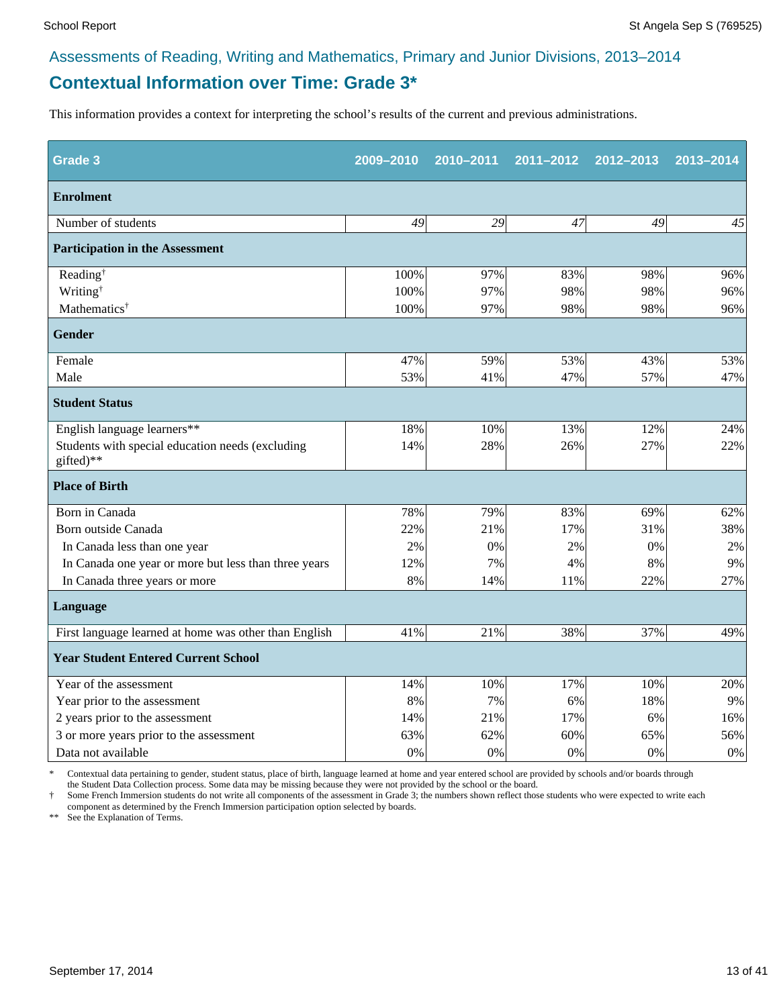#### **Contextual Information over Time: Grade 3\***

This information provides a context for interpreting the school's results of the current and previous administrations.

| <b>Grade 3</b>                                                | 2009-2010 | 2010-2011 | 2011-2012 | 2012-2013 | 2013-2014 |
|---------------------------------------------------------------|-----------|-----------|-----------|-----------|-----------|
| <b>Enrolment</b>                                              |           |           |           |           |           |
| Number of students                                            | 49        | 29        | 47        | 49        | 45        |
| <b>Participation in the Assessment</b>                        |           |           |           |           |           |
| Reading <sup>†</sup>                                          | 100%      | 97%       | 83%       | 98%       | 96%       |
| Writing <sup>†</sup>                                          | 100%      | 97%       | 98%       | 98%       | 96%       |
| Mathematics <sup>†</sup>                                      | 100%      | 97%       | 98%       | 98%       | 96%       |
| <b>Gender</b>                                                 |           |           |           |           |           |
| Female                                                        | 47%       | 59%       | 53%       | 43%       | 53%       |
| Male                                                          | 53%       | 41%       | 47%       | 57%       | 47%       |
| <b>Student Status</b>                                         |           |           |           |           |           |
| English language learners**                                   | 18%       | 10%       | 13%       | 12%       | 24%       |
| Students with special education needs (excluding<br>gifted)** | 14%       | 28%       | 26%       | 27%       | 22%       |
| <b>Place of Birth</b>                                         |           |           |           |           |           |
| Born in Canada                                                | 78%       | 79%       | 83%       | 69%       | 62%       |
| Born outside Canada                                           | 22%       | 21%       | 17%       | 31%       | 38%       |
| In Canada less than one year                                  | 2%        | 0%        | 2%        | 0%        | 2%        |
| In Canada one year or more but less than three years          | 12%       | 7%        | 4%        | 8%        | 9%        |
| In Canada three years or more                                 | 8%        | 14%       | 11%       | 22%       | 27%       |
| Language                                                      |           |           |           |           |           |
| First language learned at home was other than English         | 41%       | 21%       | 38%       | 37%       | 49%       |
| <b>Year Student Entered Current School</b>                    |           |           |           |           |           |
| Year of the assessment                                        | 14%       | 10%       | 17%       | 10%       | 20%       |
| Year prior to the assessment                                  | 8%        | 7%        | 6%        | 18%       | 9%        |
| 2 years prior to the assessment                               | 14%       | 21%       | 17%       | 6%        | 16%       |
| 3 or more years prior to the assessment                       | 63%       | 62%       | 60%       | 65%       | 56%       |
| Data not available                                            | 0%        | 0%        | 0%        | 0%        | $0\%$     |

\* Contextual data pertaining to gender, student status, place of birth, language learned at home and year entered school are provided by schools and/or boards through the Student Data Collection process. Some data may be missing because they were not provided by the school or the board.

† Some French Immersion students do not write all components of the assessment in Grade 3; the numbers shown reflect those students who were expected to write each component as determined by the French Immersion participation option selected by boards.

\*\* See the Explanation of Terms.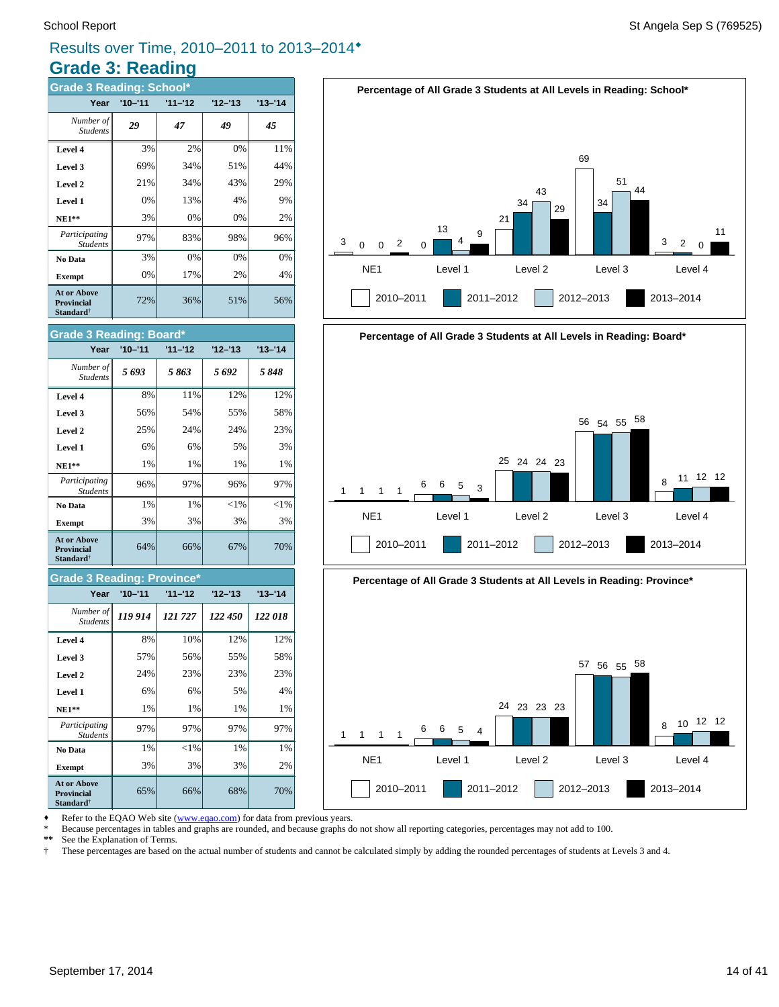#### **Grade 3: Reading** Results over Time, 2010–2011 to 2013–2014®

| <b>Grade 3 Reading: School*</b>                                          |             |           |           |           |  |  |  |  |
|--------------------------------------------------------------------------|-------------|-----------|-----------|-----------|--|--|--|--|
| Year                                                                     | $'10 - '11$ | $11 - 12$ | $12 - 13$ | $13 - 14$ |  |  |  |  |
| Number of<br><b>Students</b>                                             | 29          | 47        | 49        | 45        |  |  |  |  |
| Level 4                                                                  | 3%          | 2%        | 0%        | 11%       |  |  |  |  |
| Level 3                                                                  | 69%         | 34%       | 51%       | 44%       |  |  |  |  |
| Level 2                                                                  | 21%         | 34%       | 43%       | 29%       |  |  |  |  |
| Level 1                                                                  | 0%          | 13%       | 4%        | 9%        |  |  |  |  |
| $NE1**$                                                                  | 3%          | 0%        | 0%        | 2%        |  |  |  |  |
| Participating<br><b>Students</b>                                         | 97%         | 83%       | 98%       | 96%       |  |  |  |  |
| No Data                                                                  | 3%          | 0%        | 0%        | 0%        |  |  |  |  |
| <b>Exempt</b>                                                            | 0%          | 17%       | 2%        | 4%        |  |  |  |  |
| <b>At or Above</b><br><b>Provincial</b><br>$\mathbf{Standard}^{\dagger}$ | 72%         | 36%       | 51%       | 56%       |  |  |  |  |



#### **Grade 3 Reading: Province\***

| Year                                                                    | $'10 - '11$ | $11 - 12$ | $12 - 13$ | $'13 - '14$ |
|-------------------------------------------------------------------------|-------------|-----------|-----------|-------------|
| Number of<br><b>Students</b>                                            | 119 914     | 121727    | 122 450   | 122018      |
| Level 4                                                                 | 8%          | 10%       | 12%       | 12%         |
| Level 3                                                                 | 57%         | 56%       | 55%       | 58%         |
| Level 2                                                                 | 24%         | 23%       | 23%       | 23%         |
| Level 1                                                                 | 6%          | 6%        | 5%        | 4%          |
| <b>NE1**</b>                                                            | 1%          | 1%        | 1%        | 1%          |
| Participating<br><b>Students</b>                                        | 97%         | 97%       | 97%       | 97%         |
| No Data                                                                 | 1%          | $<$ 1%    | 1%        | 1%          |
| <b>Exempt</b>                                                           | 3%          | 3%        | 3%        | 2%          |
| <b>At or Above</b><br><b>Provincial</b><br><b>Standard</b> <sup>†</sup> | 65%         | 66%       | 68%       | 70%         |









Refer to the EQAO Web site (www.eqao.com) for data from previous years.

\* Because percentages in tables and graphs are rounded, and because graphs do not show all reporting categories, percentages may not add to 100.

 **\*\*** See the Explanation of Terms.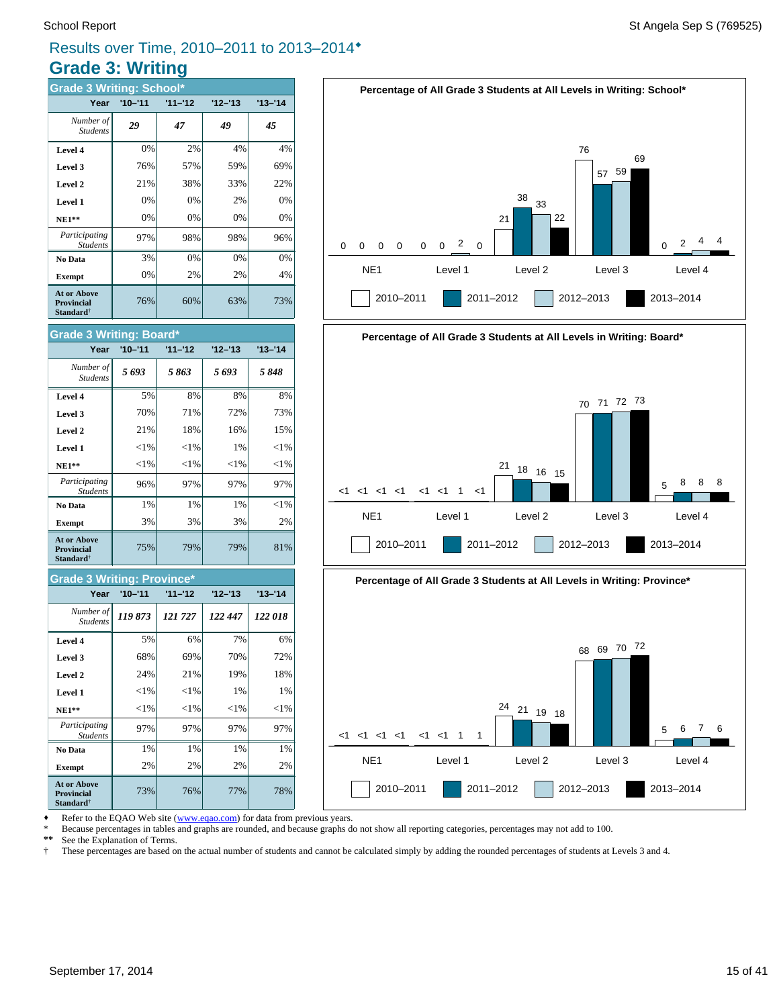#### **Grade 3: Writing** Results over Time, 2010–2011 to 2013–2014®

| <b>Grade 3 Writing: School*</b>                                  |             |           |           |             |  |  |  |
|------------------------------------------------------------------|-------------|-----------|-----------|-------------|--|--|--|
| Year                                                             | $'10 - '11$ | $11 - 12$ | $12 - 13$ | $'13 - '14$ |  |  |  |
| Number of<br><b>Students</b>                                     | 29          | 47        | 49        | 45          |  |  |  |
| Level 4                                                          | 0%          | 2%        | 4%        | 4%          |  |  |  |
| Level 3                                                          | 76%         | 57%       | 59%       | 69%         |  |  |  |
| Level 2                                                          | 21%         | 38%       | 33%       | 22%         |  |  |  |
| Level 1                                                          | 0%          | 0%        | 2%        | 0%          |  |  |  |
| $NE1**$                                                          | 0%          | 0%        | 0%        | 0%          |  |  |  |
| Participating<br><b>Students</b>                                 | 97%         | 98%       | 98%       | 96%         |  |  |  |
| No Data                                                          | 3%          | 0%        | 0%        | 0%          |  |  |  |
| <b>Exempt</b>                                                    | 0%          | 2%        | 2%        | 4%          |  |  |  |
| <b>At or Above</b><br><b>Provincial</b><br>Standard <sup>†</sup> | 76%         | 60%       | 63%       | 73%         |  |  |  |



#### **Grade 3 Writing: Province\***

| Year                                                             | $'10 - '11$ | $11 - 12$ | $12 - 13$ | $13 - 14$ |
|------------------------------------------------------------------|-------------|-----------|-----------|-----------|
| Number of<br><b>Students</b>                                     | 119873      | 121 727   | 122 447   | 122 018   |
| Level 4                                                          | 5%          | 6%        | 7%        | 6%        |
| Level 3                                                          | 68%         | 69%       | 70%       | 72%       |
| Level 2                                                          | 24%         | 21%       | 19%       | 18%       |
| Level 1                                                          | $<$ 1%      | $<$ 1%    | 1%        | 1%        |
| $NE1**$                                                          | $<$ 1%      | $<$ 1%    | $<$ 1%    | ${<}1\%$  |
| Participating<br><b>Students</b>                                 | 97%         | 97%       | 97%       | 97%       |
| No Data                                                          | 1%          | 1%        | 1%        | 1%        |
| <b>Exempt</b>                                                    | 2%          | 2%        | 2%        | 2%        |
| <b>At or Above</b><br><b>Provincial</b><br>Standard <sup>†</sup> | 73%         | 76%       | 77%       | 78%       |









Refer to the EQAO Web site (www.eqao.com) for data from previous years.

\* Because percentages in tables and graphs are rounded, and because graphs do not show all reporting categories, percentages may not add to 100.

 **\*\*** See the Explanation of Terms.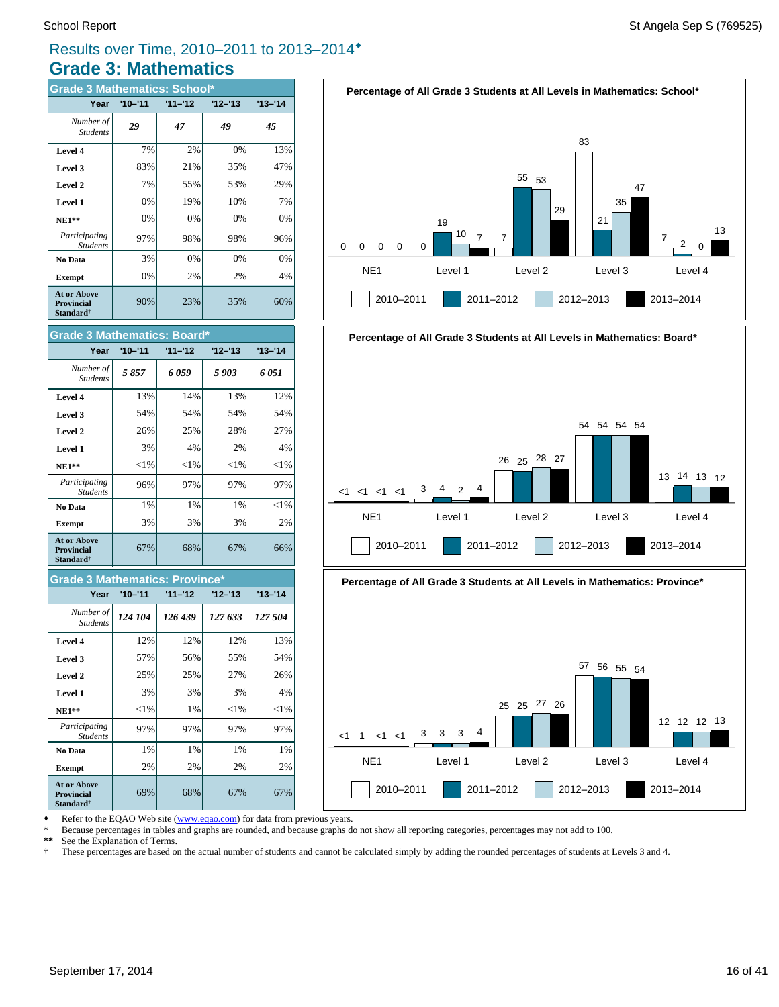#### **Grade 3: Mathematics** Results over Time, 2010–2011 to 2013–2014®

| <b>Grade 3 Mathematics: School*</b>                              |             |           |           |           |
|------------------------------------------------------------------|-------------|-----------|-----------|-----------|
| Year                                                             | $'10 - '11$ | $11 - 12$ | $12 - 13$ | $13 - 14$ |
| Number of<br><b>Students</b>                                     | 29          | 47        | 49        | 45        |
| Level 4                                                          | 7%          | 2%        | 0%        | 13%       |
| Level 3                                                          | 83%         | 21%       | 35%       | 47%       |
| Level 2                                                          | 7%          | 55%       | 53%       | 29%       |
| Level 1                                                          | 0%          | 19%       | 10%       | 7%        |
| $NE1**$                                                          | 0%          | 0%        | 0%        | 0%        |
| Participating<br><b>Students</b>                                 | 97%         | 98%       | 98%       | 96%       |
| No Data                                                          | 3%          | 0%        | 0%        | 0%        |
| <b>Exempt</b>                                                    | 0%          | 2%        | 2%        | 4%        |
| <b>At or Above</b><br><b>Provincial</b><br>Standard <sup>†</sup> | 90%         | 23%       | 35%       | 60%       |



#### **Grade 3 Mathematics: Province\***

| Year                                                         | $'10 - '11$ | $11 - 12$ | $12 - 13$ | $13 - 14$ |
|--------------------------------------------------------------|-------------|-----------|-----------|-----------|
| Number of<br><b>Students</b>                                 | 124 104     | 126 439   | 127 633   | 127 504   |
| Level 4                                                      | 12%         | 12%       | 12%       | 13%       |
| Level 3                                                      | 57%         | 56%       | 55%       | 54%       |
| Level 2                                                      | 25%         | 25%       | 27%       | 26%       |
| Level 1                                                      | 3%          | 3%        | 3%        | 4%        |
| $NE1**$                                                      | ${<}1\%$    | 1%        | ${<}1\%$  | ${<}1\%$  |
| Participating<br><b>Students</b>                             | 97%         | 97%       | 97%       | 97%       |
| No Data                                                      | 1%          | 1%        | 1%        | 1%        |
| <b>Exempt</b>                                                | 2%          | 2%        | 2%        | 2%        |
| <b>At or Above</b><br><b>Provincial</b><br><b>Standard</b> † | 69%         | 68%       | 67%       | 67%       |









Refer to the EQAO Web site (www.eqao.com) for data from previous years.

\* Because percentages in tables and graphs are rounded, and because graphs do not show all reporting categories, percentages may not add to 100.

 **\*\*** See the Explanation of Terms.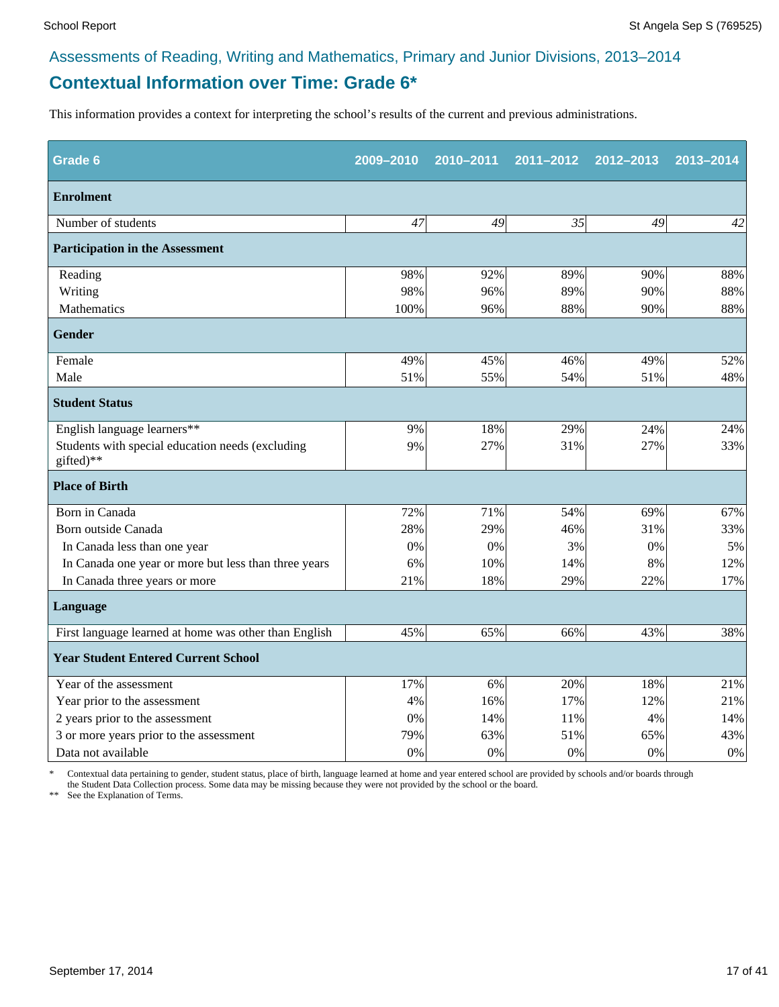#### **Contextual Information over Time: Grade 6\***

This information provides a context for interpreting the school's results of the current and previous administrations.

| Grade 6                                                       | 2009-2010 | 2010-2011 | 2011-2012 | 2012-2013 | 2013-2014 |
|---------------------------------------------------------------|-----------|-----------|-----------|-----------|-----------|
| <b>Enrolment</b>                                              |           |           |           |           |           |
| Number of students                                            | 47        | 49        | 35        | 49        | 42        |
| <b>Participation in the Assessment</b>                        |           |           |           |           |           |
| Reading                                                       | 98%       | 92%       | 89%       | 90%       | 88%       |
| Writing                                                       | 98%       | 96%       | 89%       | 90%       | 88%       |
| Mathematics                                                   | 100%      | 96%       | 88%       | 90%       | 88%       |
| <b>Gender</b>                                                 |           |           |           |           |           |
| Female                                                        | 49%       | 45%       | 46%       | 49%       | 52%       |
| Male                                                          | 51%       | 55%       | 54%       | 51%       | 48%       |
| <b>Student Status</b>                                         |           |           |           |           |           |
| English language learners**                                   | 9%        | 18%       | 29%       | 24%       | 24%       |
| Students with special education needs (excluding<br>gifted)** | 9%        | 27%       | 31%       | 27%       | 33%       |
| <b>Place of Birth</b>                                         |           |           |           |           |           |
| Born in Canada                                                | 72%       | 71%       | 54%       | 69%       | 67%       |
| Born outside Canada                                           | 28%       | 29%       | 46%       | 31%       | 33%       |
| In Canada less than one year                                  | 0%        | 0%        | 3%        | 0%        | 5%        |
| In Canada one year or more but less than three years          | 6%        | 10%       | 14%       | 8%        | 12%       |
| In Canada three years or more                                 | 21%       | 18%       | 29%       | 22%       | 17%       |
| Language                                                      |           |           |           |           |           |
| First language learned at home was other than English         | 45%       | 65%       | 66%       | 43%       | 38%       |
| <b>Year Student Entered Current School</b>                    |           |           |           |           |           |
| Year of the assessment                                        | 17%       | 6%        | 20%       | 18%       | 21%       |
| Year prior to the assessment                                  | 4%        | 16%       | 17%       | 12%       | 21%       |
| 2 years prior to the assessment                               | 0%        | 14%       | 11%       | 4%        | 14%       |
| 3 or more years prior to the assessment                       | 79%       | 63%       | 51%       | 65%       | 43%       |
| Data not available                                            | 0%        | 0%        | 0%        | 0%        | $0\%$     |

\* Contextual data pertaining to gender, student status, place of birth, language learned at home and year entered school are provided by schools and/or boards through the Student Data Collection process. Some data may be missing because they were not provided by the school or the board.

\*\* See the Explanation of Terms.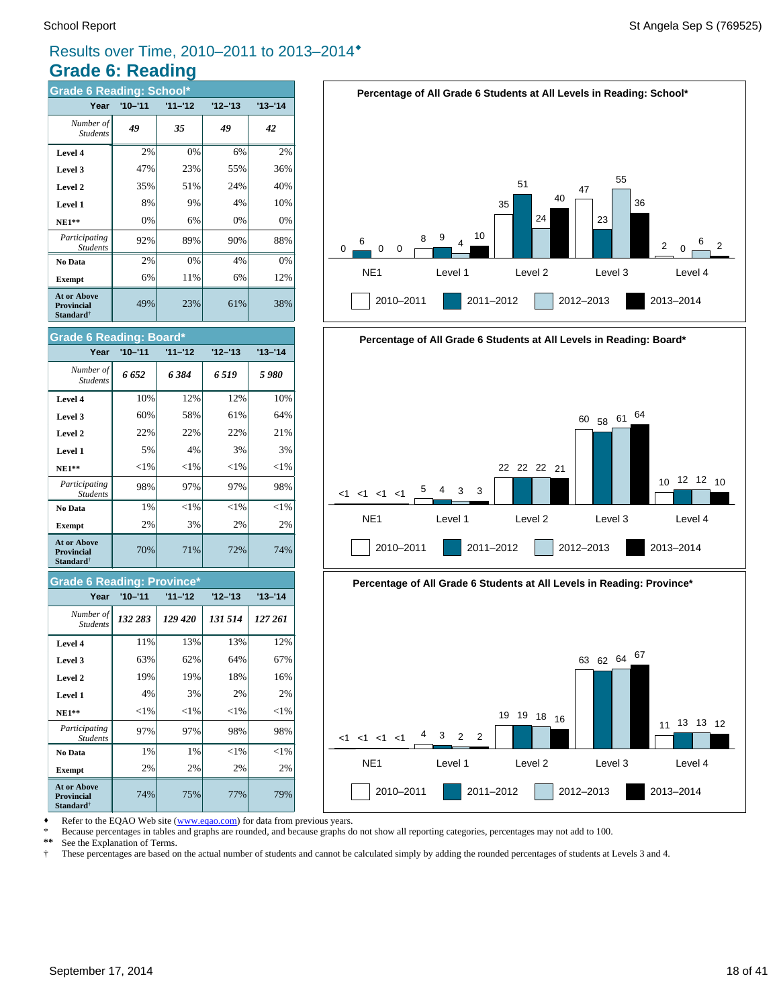#### Results over Time, 2010–2011 to 2013–2014®

#### **Grade 6: Reading**

| <b>Grade 6 Reading: School*</b>                                  |             |           |           |             |
|------------------------------------------------------------------|-------------|-----------|-----------|-------------|
| Year                                                             | $'10 - '11$ | $11 - 12$ | $12 - 13$ | $'13 - '14$ |
| Number of<br><b>Students</b>                                     | 49          | 35        | 49        | 42          |
| Level 4                                                          | 2%          | 0%        | 6%        | 2%          |
| Level 3                                                          | 47%         | 23%       | 55%       | 36%         |
| Level 2                                                          | 35%         | 51%       | 24%       | 40%         |
| Level 1                                                          | 8%          | 9%        | 4%        | 10%         |
| $NE1**$                                                          | 0%          | 6%        | 0%        | 0%          |
| Participating<br><b>Students</b>                                 | 92%         | 89%       | 90%       | 88%         |
| No Data                                                          | 2%          | 0%        | 4%        | 0%          |
| <b>Exempt</b>                                                    | 6%          | 11%       | 6%        | 12%         |
| <b>At or Above</b><br><b>Provincial</b><br>Standard <sup>†</sup> | 49%         | 23%       | 61%       | 38%         |



#### **Grade 6 Reading: Province\***

| Year                                                             | $'10 - '11$ | $11 - 12$ | $12 - 13$ | $'13 - '14$ |
|------------------------------------------------------------------|-------------|-----------|-----------|-------------|
| Number of<br><b>Students</b>                                     | 132 283     | 129 420   | 131 514   | 127 261     |
| Level 4                                                          | 11%         | 13%       | 13%       | 12%         |
| Level 3                                                          | 63%         | 62%       | 64%       | 67%         |
| Level 2                                                          | 19%         | 19%       | 18%       | 16%         |
| Level 1                                                          | 4%          | 3%        | 2%        | 2%          |
| $NE1**$                                                          | $<$ 1%      | ${<}1\%$  | ${<}1\%$  | ${<}1\%$    |
| Participating<br><b>Students</b>                                 | 97%         | 97%       | 98%       | 98%         |
| No Data                                                          | 1%          | 1%        | $<$ 1%    | $<$ 1%      |
| <b>Exempt</b>                                                    | 2%          | 2%        | 2%        | 2%          |
| <b>At or Above</b><br><b>Provincial</b><br>Standard <sup>†</sup> | 74%         | 75%       | 77%       | 79%         |









Refer to the EQAO Web site (www.eqao.com) for data from previous years.

\* Because percentages in tables and graphs are rounded, and because graphs do not show all reporting categories, percentages may not add to 100.

 **\*\*** See the Explanation of Terms.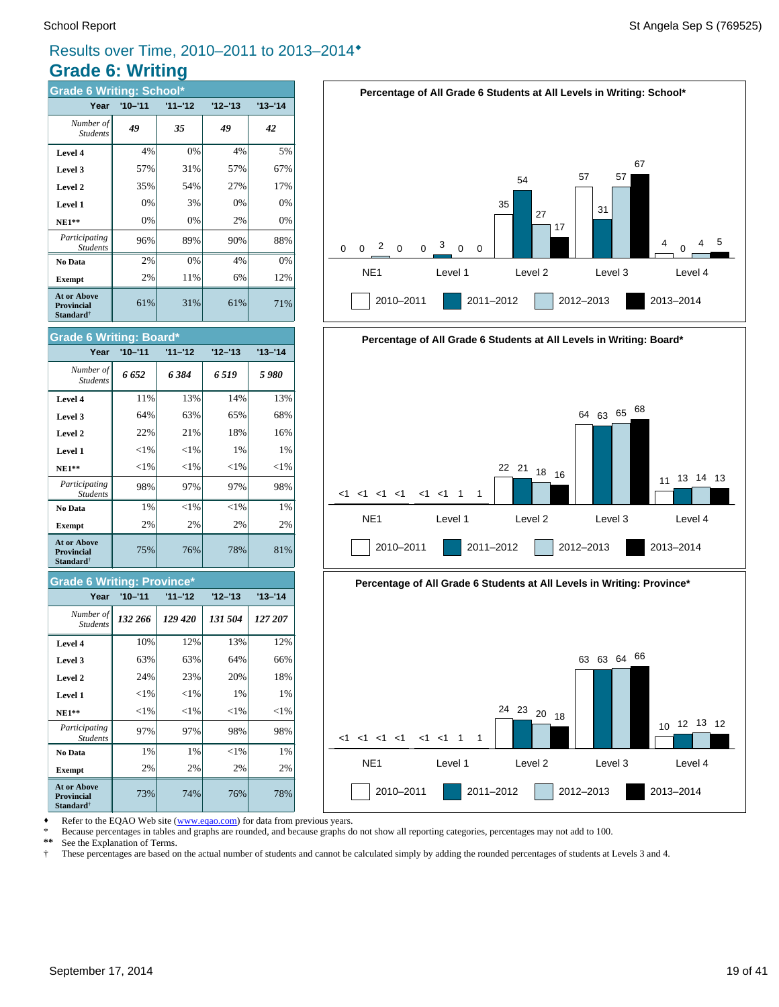#### Results over Time, 2010–2011 to 2013–2014®

#### **Grade 6: Writing**

| <b>Grade 6 Writing: School*</b>                                  |             |           |           |           |
|------------------------------------------------------------------|-------------|-----------|-----------|-----------|
| Year                                                             | $'10 - '11$ | $11 - 12$ | $12 - 13$ | $13 - 14$ |
| Number of<br><b>Students</b>                                     | 49          | 35        | 49        | 42        |
| Level 4                                                          | 4%          | 0%        | 4%        | 5%        |
| Level 3                                                          | 57%         | 31%       | 57%       | 67%       |
| Level 2                                                          | 35%         | 54%       | 27%       | 17%       |
| Level 1                                                          | 0%          | 3%        | 0%        | 0%        |
| $NE1**$                                                          | 0%          | 0%        | 2%        | 0%        |
| Participating<br><b>Students</b>                                 | 96%         | 89%       | 90%       | 88%       |
| No Data                                                          | 2%          | 0%        | 4%        | 0%        |
| <b>Exempt</b>                                                    | 2%          | 11%       | 6%        | 12%       |
| <b>At or Above</b><br><b>Provincial</b><br>Standard <sup>†</sup> | 61%         | 31%       | 61%       | 71%       |



75% 76% 78% 81%

#### **Grade 6 Writing: Province\***

**Provincial Standard**†

| Year                                                             | $'10 - '11$ | $11 - 12$ | $12 - 13$ | $13 - 14$ |
|------------------------------------------------------------------|-------------|-----------|-----------|-----------|
| Number of<br><b>Students</b>                                     | 132 266     | 129 420   | 131 504   | 127 207   |
| Level 4                                                          | 10%         | 12%       | 13%       | 12%       |
| Level 3                                                          | 63%         | 63%       | 64%       | 66%       |
| Level 2                                                          | 24%         | 23%       | 20%       | 18%       |
| Level 1                                                          | ${<}1\%$    | $<$ l $%$ | 1%        | 1%        |
| $NE1**$                                                          | $< 1\%$     | $<$ 1%    | $<$ 1%    | $<$ 1%    |
| Participating<br><b>Students</b>                                 | 97%         | 97%       | 98%       | 98%       |
| No Data                                                          | 1%          | 1%        | $<$ 1%    | 1%        |
| <b>Exempt</b>                                                    | 2%          | 2%        | 2%        | 2%        |
| <b>At or Above</b><br><b>Provincial</b><br>Standard <sup>†</sup> | 73%         | 74%       | 76%       | 78%       |







2010–2011 2011–2012 2012–2013 2013–2014

Refer to the EQAO Web site (www.eqao.com) for data from previous years.

\* Because percentages in tables and graphs are rounded, and because graphs do not show all reporting categories, percentages may not add to 100.

 **\*\*** See the Explanation of Terms.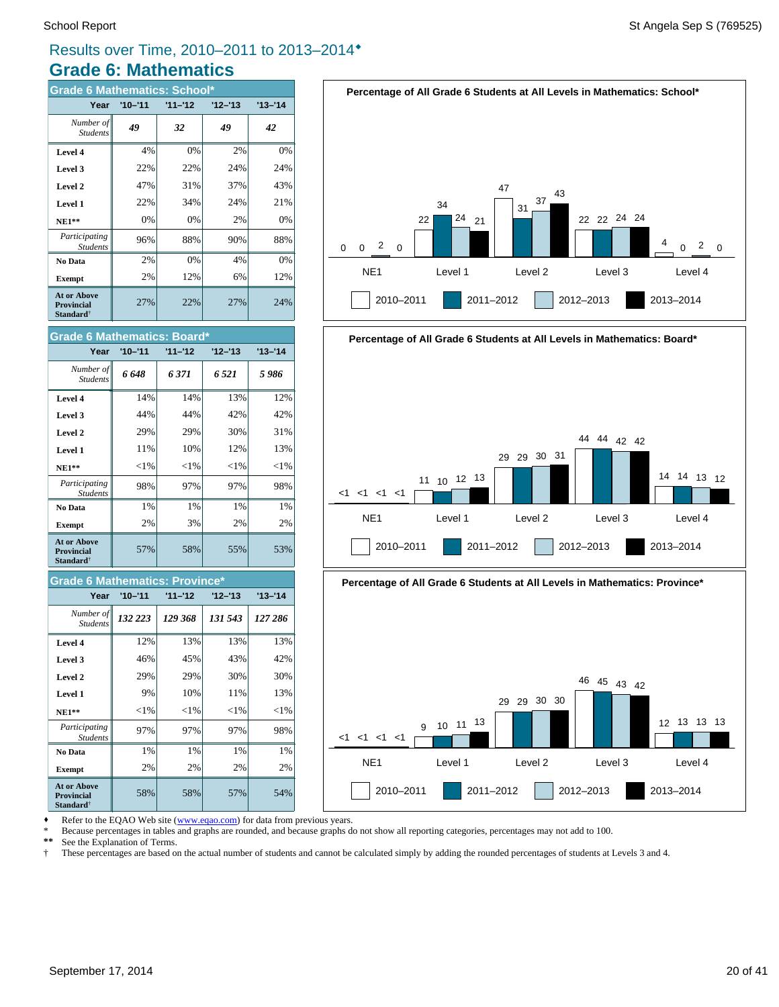#### Results over Time, 2010–2011 to 2013–2014®

#### **Grade 6: Mathematics**

| <b>Grade 6 Mathematics: School*</b>                              |             |           |         |           |
|------------------------------------------------------------------|-------------|-----------|---------|-----------|
| Year                                                             | $'10 - '11$ | $11 - 12$ | '12–'13 | $13 - 14$ |
| Number of<br><b>Students</b>                                     | 49          | 32        | 49      | 42        |
| Level 4                                                          | 4%          | 0%        | 2%      | 0%        |
| Level 3                                                          | 22%         | 22%       | 24%     | 24%       |
| Level 2                                                          | 47%         | 31%       | 37%     | 43%       |
| Level 1                                                          | 22%         | 34%       | 24%     | 21%       |
| $NE1**$                                                          | 0%          | 0%        | 2%      | 0%        |
| Participating<br><b>Students</b>                                 | 96%         | 88%       | 90%     | 88%       |
| No Data                                                          | 2%          | 0%        | 4%      | 0%        |
| <b>Exempt</b>                                                    | 2%          | 12%       | 6%      | 12%       |
| <b>At or Above</b><br><b>Provincial</b><br>Standard <sup>†</sup> | 27%         | 22%       | 27%     | 24%       |



2010–2011 2011–2012 2012–2013 2013–2014



#### **Grade 6 Mathematics: Provin**

| Year                                                             | $'10 - '11$ | $11 - 12$ | $12 - 13$ | $13 - 14$ |
|------------------------------------------------------------------|-------------|-----------|-----------|-----------|
| Number of<br><b>Students</b>                                     | 132 223     | 129 368   | 131 543   | 127 286   |
| Level 4                                                          | 12%         | 13%       | 13%       | 13%       |
| Level 3                                                          | 46%         | 45%       | 43%       | 42%       |
| Level 2                                                          | 29%         | 29%       | 30%       | 30%       |
| Level 1                                                          | 9%          | 10%       | 11%       | 13%       |
| $NE1**$                                                          | $<$ 1%      | $<$ 1%    | $<$ 1%    | $<$ 1%    |
| Participating<br><b>Students</b>                                 | 97%         | 97%       | 97%       | 98%       |
| No Data                                                          | 1%          | 1%        | 1%        | 1%        |
| <b>Exempt</b>                                                    | 2%          | 2%        | 2%        | 2%        |
| <b>At or Above</b><br><b>Provincial</b><br>Standard <sup>†</sup> | 58%         | 58%       | 57%       | 54%       |

# **Percentage of All Grade 6 Students at All Levels in Mathematics: Board\***







Refer to the EQAO Web site (www.eqao.com) for data from previous years.

\* Because percentages in tables and graphs are rounded, and because graphs do not show all reporting categories, percentages may not add to 100.

 **\*\*** See the Explanation of Terms.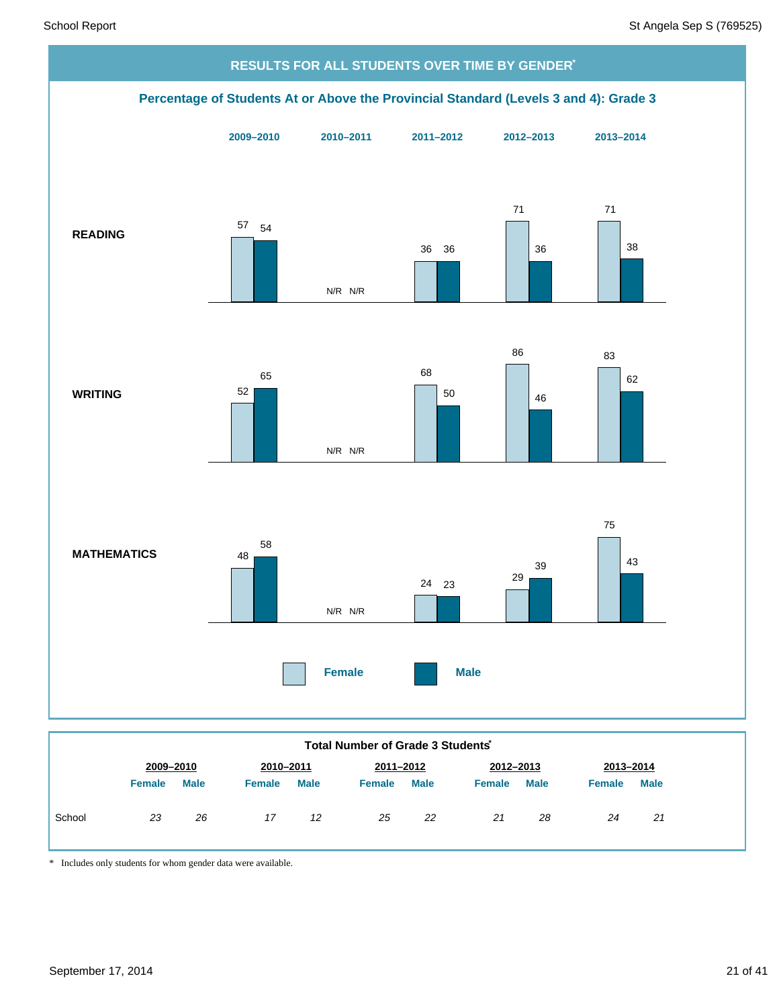

|        | Total Number of Grade 3 Students |             |               |             |               |             |               |             |               |             |
|--------|----------------------------------|-------------|---------------|-------------|---------------|-------------|---------------|-------------|---------------|-------------|
|        | 2009-2010                        |             | 2010-2011     |             | 2011-2012     |             | 2012-2013     |             | 2013-2014     |             |
|        | <b>Female</b>                    | <b>Male</b> | <b>Female</b> | <b>Male</b> | <b>Female</b> | <b>Male</b> | <b>Female</b> | <b>Male</b> | <b>Female</b> | <b>Male</b> |
| School | 23                               | 26          | 17            | 12          | 25            | 22          | 21            | 28          | 24            | 21          |

\* Includes only students for whom gender data were available.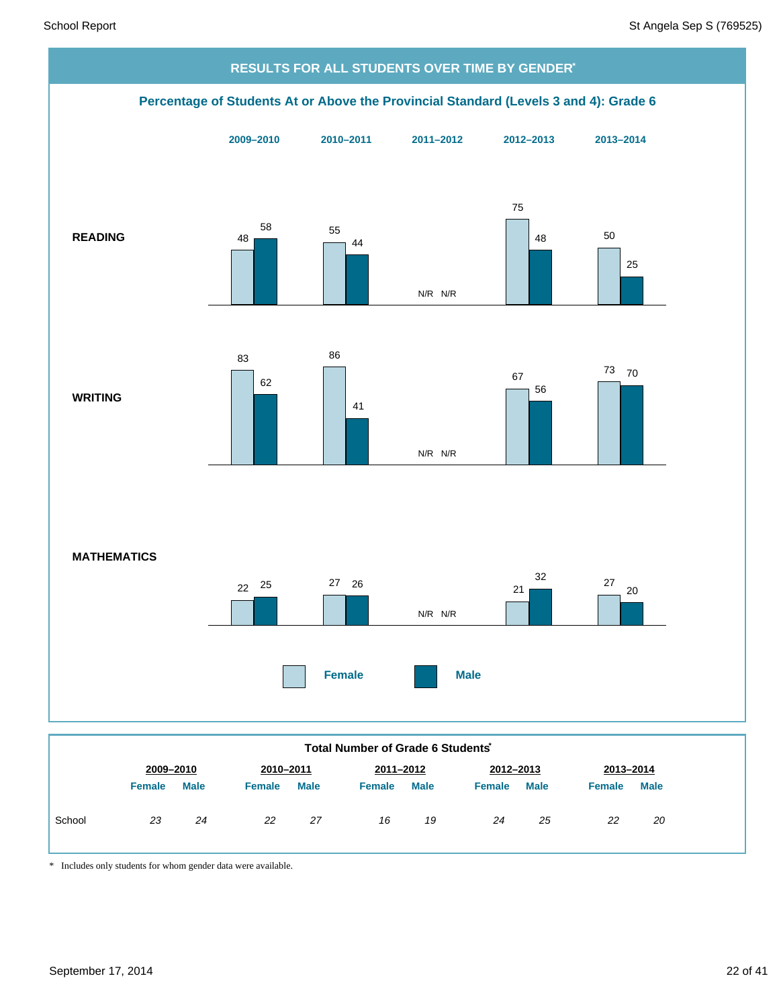

| 2009-2010<br>2010-2011<br>2012-2013<br>2011-2012<br>2013-2014<br><b>Male</b><br><b>Male</b><br><b>Male</b><br><b>Male</b><br>Male<br><b>Female</b><br><b>Female</b><br><b>Female</b><br><b>Female</b><br><b>Female</b><br>School<br>22<br>23<br>27<br>19<br>24<br>25<br>22<br>16<br>24<br>20 |  |  |  |  |  |  |
|----------------------------------------------------------------------------------------------------------------------------------------------------------------------------------------------------------------------------------------------------------------------------------------------|--|--|--|--|--|--|
|                                                                                                                                                                                                                                                                                              |  |  |  |  |  |  |
|                                                                                                                                                                                                                                                                                              |  |  |  |  |  |  |
|                                                                                                                                                                                                                                                                                              |  |  |  |  |  |  |

\* Includes only students for whom gender data were available.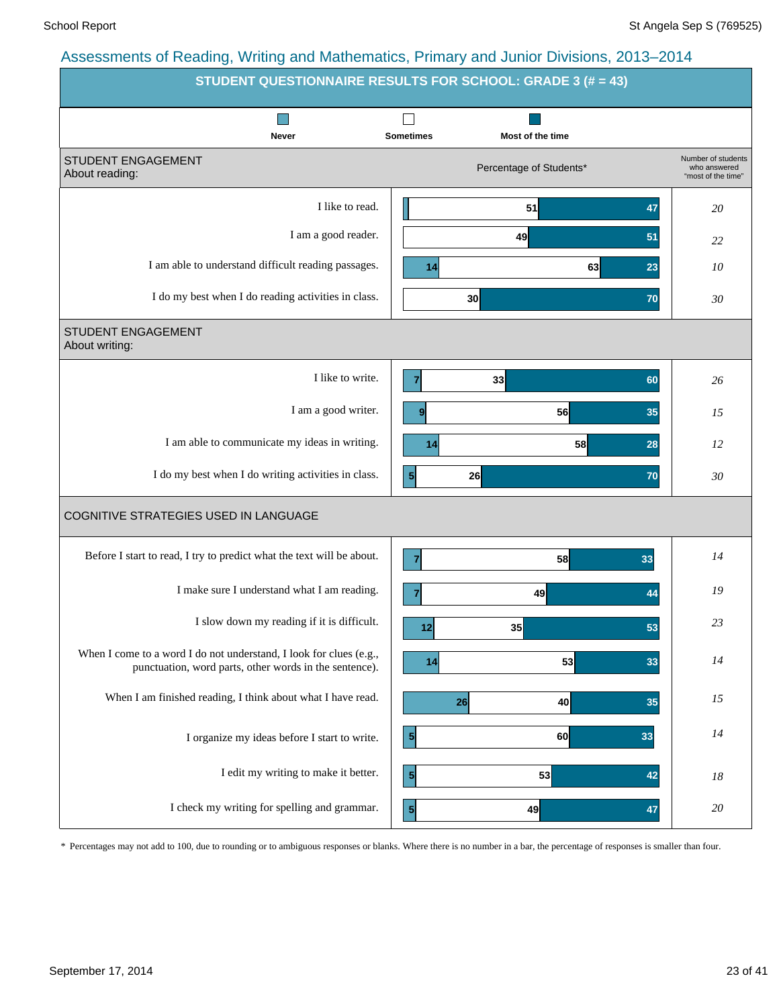| STUDENT QUESTIONNAIRE RESULTS FOR SCHOOL: GRADE 3 (# = 43)                                                                   |                  |                         |                                                          |
|------------------------------------------------------------------------------------------------------------------------------|------------------|-------------------------|----------------------------------------------------------|
| Never                                                                                                                        | <b>Sometimes</b> | Most of the time        |                                                          |
| STUDENT ENGAGEMENT<br>About reading:                                                                                         |                  | Percentage of Students* | Number of students<br>who answered<br>"most of the time" |
| I like to read.                                                                                                              |                  | 51<br>47                | 20                                                       |
| I am a good reader.                                                                                                          |                  | 49<br>51                | 22                                                       |
| I am able to understand difficult reading passages.                                                                          | 14               | 63<br>23                | 10                                                       |
| I do my best when I do reading activities in class.                                                                          |                  | 30<br>70                | 30                                                       |
| STUDENT ENGAGEMENT<br>About writing:                                                                                         |                  |                         |                                                          |
| I like to write.                                                                                                             | 7                | 33<br>60                | 26                                                       |
| I am a good writer.                                                                                                          | 9                | 56<br>35                | 15                                                       |
| I am able to communicate my ideas in writing.                                                                                | 14               | 58<br>28                | 12                                                       |
| I do my best when I do writing activities in class.                                                                          | $\mathbf{5}$     | 26<br>70                | 30                                                       |
| COGNITIVE STRATEGIES USED IN LANGUAGE                                                                                        |                  |                         |                                                          |
| Before I start to read, I try to predict what the text will be about.                                                        | 7                | 58<br>33                | 14                                                       |
| I make sure I understand what I am reading.                                                                                  | 7                | 49<br>44                | 19                                                       |
| I slow down my reading if it is difficult.                                                                                   | 12               | 35<br>53                | 23                                                       |
| When I come to a word I do not understand, I look for clues (e.g.,<br>punctuation, word parts, other words in the sentence). | 14               | 53<br>33                | 14                                                       |
| When I am finished reading, I think about what I have read.                                                                  | 26               | 40<br>35                | 15                                                       |
| I organize my ideas before I start to write.                                                                                 | $\vert 5 \vert$  | 60<br>33                | 14                                                       |
| I edit my writing to make it better.                                                                                         | 5 <sup>1</sup>   | 53<br>42                | 18                                                       |
| I check my writing for spelling and grammar.                                                                                 | $\vert$          | 49<br>47                | 20                                                       |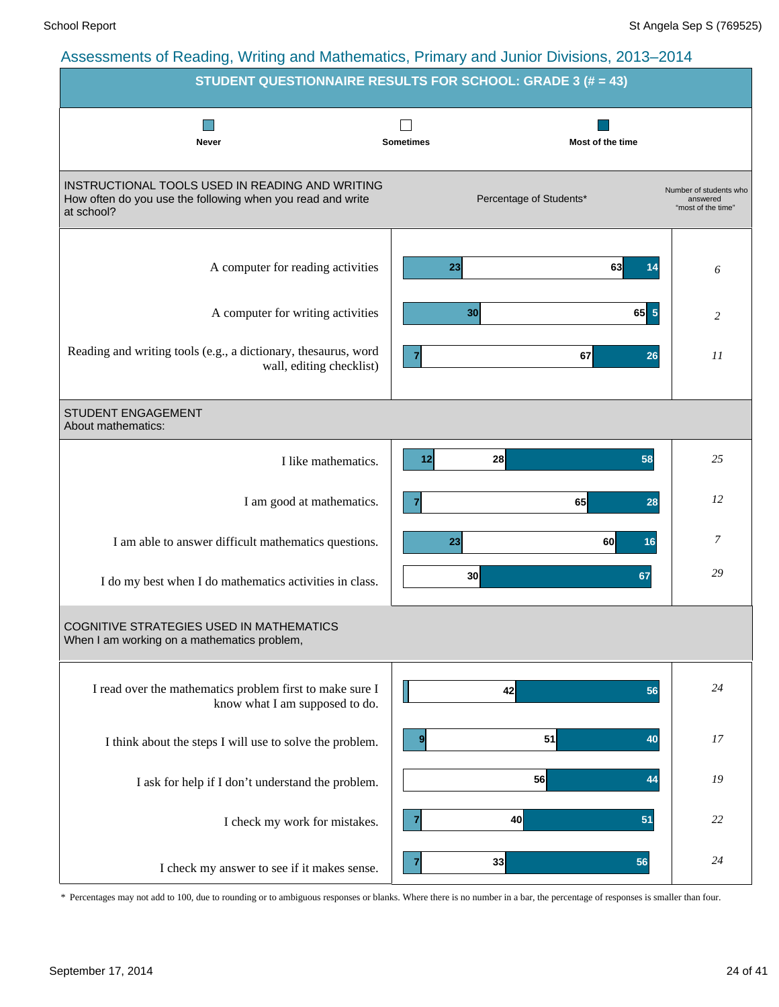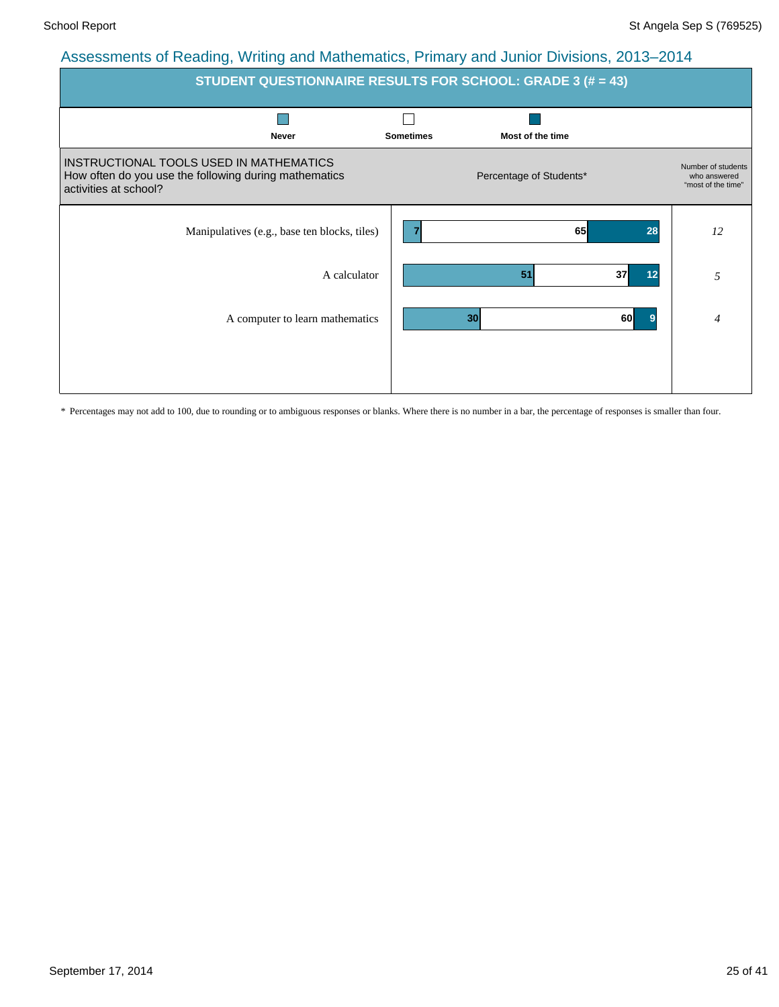| <b>STUDENT QUESTIONNAIRE RESULTS FOR SCHOOL: GRADE 3 (# = 43)</b>                                                         |                  |                         |          |                                                          |  |  |  |  |  |  |
|---------------------------------------------------------------------------------------------------------------------------|------------------|-------------------------|----------|----------------------------------------------------------|--|--|--|--|--|--|
| <b>Never</b>                                                                                                              | <b>Sometimes</b> | Most of the time        |          |                                                          |  |  |  |  |  |  |
| INSTRUCTIONAL TOOLS USED IN MATHEMATICS<br>How often do you use the following during mathematics<br>activities at school? |                  | Percentage of Students* |          | Number of students<br>who answered<br>"most of the time" |  |  |  |  |  |  |
| Manipulatives (e.g., base ten blocks, tiles)                                                                              | 7                | 65                      | 28       | 12                                                       |  |  |  |  |  |  |
| A calculator                                                                                                              |                  | 51                      | 37<br>12 | 5                                                        |  |  |  |  |  |  |
| A computer to learn mathematics                                                                                           |                  | 30                      | 60<br>9  | $\overline{4}$                                           |  |  |  |  |  |  |
|                                                                                                                           |                  |                         |          |                                                          |  |  |  |  |  |  |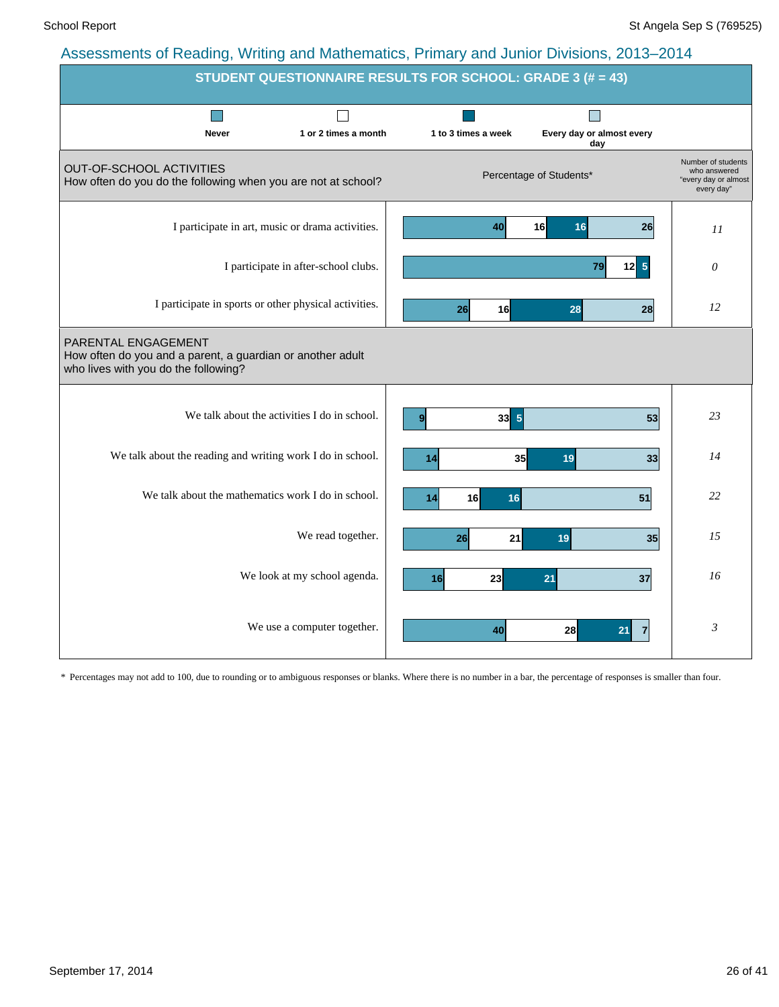| STUDENT QUESTIONNAIRE RESULTS FOR SCHOOL: GRADE 3 (# = 43)                                                                |                                      |                     |                                  |                                                                          |  |  |  |  |  |  |
|---------------------------------------------------------------------------------------------------------------------------|--------------------------------------|---------------------|----------------------------------|--------------------------------------------------------------------------|--|--|--|--|--|--|
|                                                                                                                           |                                      |                     |                                  |                                                                          |  |  |  |  |  |  |
| <b>Never</b>                                                                                                              | 1 or 2 times a month                 | 1 to 3 times a week | Every day or almost every<br>day |                                                                          |  |  |  |  |  |  |
| OUT-OF-SCHOOL ACTIVITIES<br>How often do you do the following when you are not at school?                                 |                                      |                     | Percentage of Students*          | Number of students<br>who answered<br>"every day or almost<br>every day" |  |  |  |  |  |  |
| I participate in art, music or drama activities.                                                                          |                                      | 40                  | 16 <sup>1</sup><br>26<br>16      | 11                                                                       |  |  |  |  |  |  |
|                                                                                                                           | I participate in after-school clubs. |                     | $5\phantom{.0}$<br>79<br>12      | $\theta$                                                                 |  |  |  |  |  |  |
| I participate in sports or other physical activities.                                                                     |                                      | 16<br>26            | 28<br>28                         | 12                                                                       |  |  |  |  |  |  |
| PARENTAL ENGAGEMENT<br>How often do you and a parent, a guardian or another adult<br>who lives with you do the following? |                                      |                     |                                  |                                                                          |  |  |  |  |  |  |
| We talk about the activities I do in school.                                                                              |                                      | $33 \overline{5}$   | 53                               | 23                                                                       |  |  |  |  |  |  |
| We talk about the reading and writing work I do in school.                                                                |                                      | 35<br>14            | 19<br>33                         | 14                                                                       |  |  |  |  |  |  |
| We talk about the mathematics work I do in school.                                                                        |                                      | 16<br>14<br>16      | 51                               | 22                                                                       |  |  |  |  |  |  |
|                                                                                                                           | We read together.                    | 21<br>26            | 35<br>19                         | 15                                                                       |  |  |  |  |  |  |
|                                                                                                                           | We look at my school agenda.         | 16<br>23            | 21<br>37                         | 16                                                                       |  |  |  |  |  |  |
|                                                                                                                           | We use a computer together.          | 40                  | 28<br>21                         | $\mathfrak{Z}$                                                           |  |  |  |  |  |  |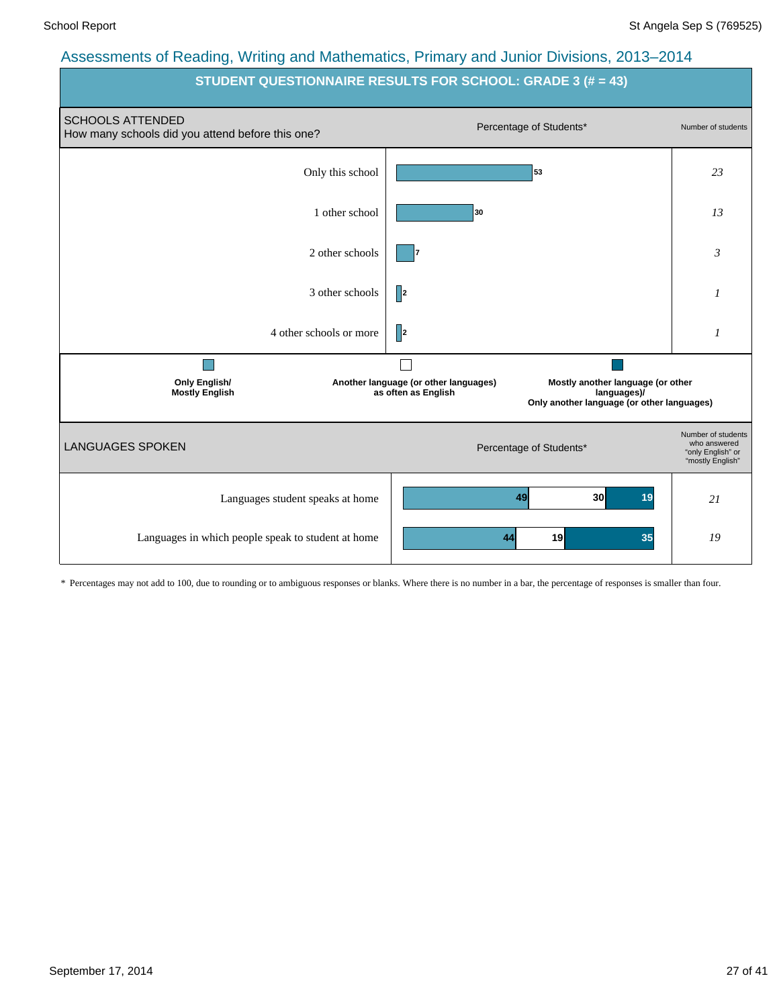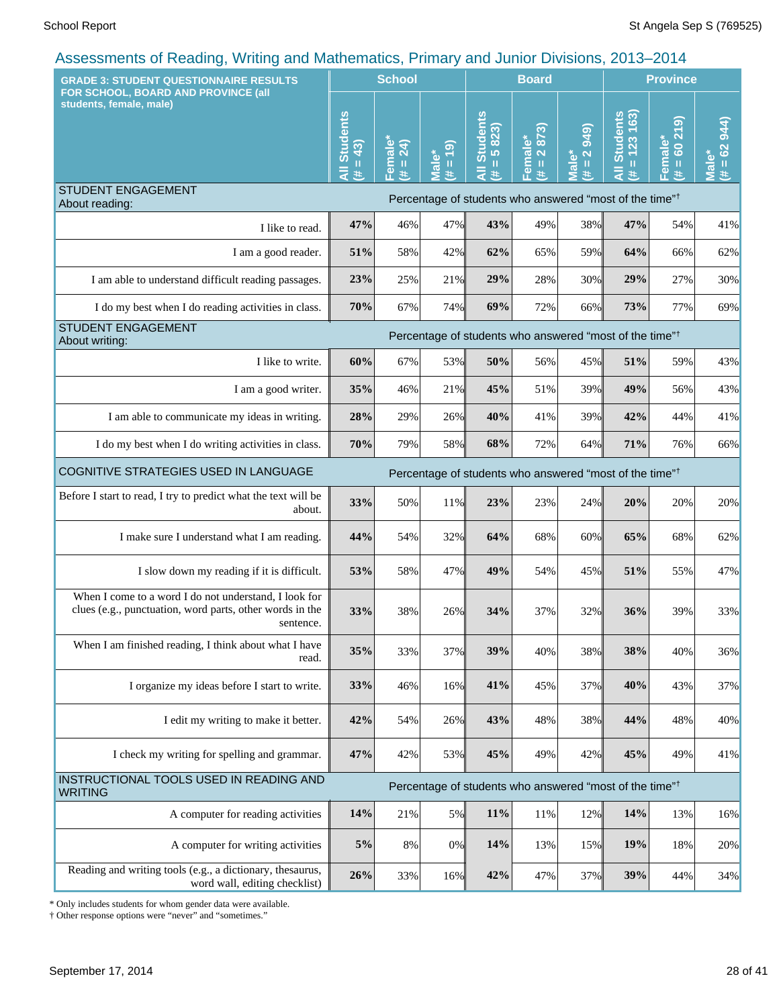| <b>GRADE 3: STUDENT QUESTIONNAIRE RESULTS</b>                                                                                  |                              | <b>School</b>                                 |                                                     |                                      | <b>Board</b>                          |                                                                     | <b>Province</b>                                                     |                                 |                                          |
|--------------------------------------------------------------------------------------------------------------------------------|------------------------------|-----------------------------------------------|-----------------------------------------------------|--------------------------------------|---------------------------------------|---------------------------------------------------------------------|---------------------------------------------------------------------|---------------------------------|------------------------------------------|
| FOR SCHOOL, BOARD AND PROVINCE (all<br>students, female, male)                                                                 | All Students<br>$= 43$<br>Ħ. | emale<br>$\overline{24}$<br>$\mathbf{0}$<br>共 | $\overline{19}$<br><b>Male*</b><br>$\mathbf u$<br>进 | <b>All Students</b><br>$= 5823$<br>进 | 2873)<br>Female*<br>$\mathbf{H}$<br>£ | <b>949</b><br>$\overline{\mathbf{N}}$<br>Male*<br>$\mathbf{u}$<br>进 | $= 123 163$<br><b>Students</b><br>巷                                 | (615)<br>Female*<br>$= 60$<br>违 | (14)<br>$= 62$<br>Male <sup>3</sup><br>进 |
| <b>STUDENT ENGAGEMENT</b><br>About reading:                                                                                    |                              |                                               |                                                     |                                      |                                       |                                                                     | Percentage of students who answered "most of the time" <sup>†</sup> |                                 |                                          |
| I like to read.                                                                                                                | 47%                          | 46%                                           | 47%                                                 | 43%                                  | 49%                                   | 38%                                                                 | 47%                                                                 | 54%                             | 41%                                      |
| I am a good reader.                                                                                                            | 51%                          | 58%                                           | 42%                                                 | 62%                                  | 65%                                   | 59%                                                                 | 64%                                                                 | 66%                             | 62%                                      |
| I am able to understand difficult reading passages.                                                                            | 23%                          | 25%                                           | 21%                                                 | 29%                                  | 28%                                   | 30%                                                                 | 29%                                                                 | 27%                             | 30%                                      |
| I do my best when I do reading activities in class.                                                                            | 70%                          | 67%                                           | 74%                                                 | 69%                                  | 72%                                   | 66%                                                                 | 73%                                                                 | 77%                             | 69%                                      |
| <b>STUDENT ENGAGEMENT</b><br>About writing:                                                                                    |                              |                                               |                                                     |                                      |                                       |                                                                     | Percentage of students who answered "most of the time" <sup>†</sup> |                                 |                                          |
| I like to write.                                                                                                               | 60%                          | 67%                                           | 53%                                                 | 50%                                  | 56%                                   | 45%                                                                 | 51%                                                                 | 59%                             | 43%                                      |
| I am a good writer.                                                                                                            | 35%                          | 46%                                           | 21%                                                 | 45%                                  | 51%                                   | 39%                                                                 | 49%                                                                 | 56%                             | 43%                                      |
| I am able to communicate my ideas in writing.                                                                                  | 28%                          | 29%                                           | 26%                                                 | 40%                                  | 41%                                   | 39%                                                                 | 42%                                                                 | 44%                             | 41%                                      |
| I do my best when I do writing activities in class.                                                                            | 70%                          | 79%                                           | 58%                                                 | 68%                                  | 72%                                   | 64%                                                                 | 71%                                                                 | 76%                             | 66%                                      |
| COGNITIVE STRATEGIES USED IN LANGUAGE                                                                                          |                              |                                               |                                                     |                                      |                                       |                                                                     | Percentage of students who answered "most of the time" <sup>†</sup> |                                 |                                          |
| Before I start to read, I try to predict what the text will be<br>about.                                                       | 33%                          | 50%                                           | 11%                                                 | 23%                                  | 23%                                   | 24%                                                                 | 20%                                                                 | 20%                             | 20%                                      |
| I make sure I understand what I am reading.                                                                                    | 44%                          | 54%                                           | 32%                                                 | 64%                                  | 68%                                   | 60%                                                                 | 65%                                                                 | 68%                             | 62%                                      |
| I slow down my reading if it is difficult.                                                                                     | 53%                          | 58%                                           | 47%                                                 | 49%                                  | 54%                                   | 45%                                                                 | 51%                                                                 | 55%                             | 47%                                      |
| When I come to a word I do not understand, I look for<br>clues (e.g., punctuation, word parts, other words in the<br>sentence. | 33%                          | 38%                                           | 26%                                                 | 34%                                  | 37%                                   | 32%                                                                 | 36%                                                                 | 39%                             | 33%                                      |
| When I am finished reading, I think about what I have<br>read.                                                                 | 35%                          | 33%                                           | 37%                                                 | 39%                                  | 40%                                   | 38%                                                                 | 38%                                                                 | 40%                             | 36%                                      |
| I organize my ideas before I start to write.                                                                                   | 33%                          | 46%                                           | 16%                                                 | 41%                                  | 45%                                   | 37%                                                                 | 40%                                                                 | 43%                             | 37%                                      |
| I edit my writing to make it better.                                                                                           | 42%                          | 54%                                           | 26%                                                 | 43%                                  | 48%                                   | 38%                                                                 | 44%                                                                 | 48%                             | 40%                                      |
| I check my writing for spelling and grammar.                                                                                   | 47%                          | 42%                                           | 53%                                                 | 45%                                  | 49%                                   | 42%                                                                 | 45%                                                                 | 49%                             | 41%                                      |
| INSTRUCTIONAL TOOLS USED IN READING AND<br><b>WRITING</b>                                                                      |                              |                                               |                                                     |                                      |                                       |                                                                     | Percentage of students who answered "most of the time" <sup>†</sup> |                                 |                                          |
| A computer for reading activities                                                                                              | 14%                          | $21\%$                                        | 5%                                                  | 11%                                  | 11%                                   | 12%                                                                 | 14%                                                                 | 13%                             | 16%                                      |
| A computer for writing activities                                                                                              | $5\%$                        | 8%                                            | 0%                                                  | 14%                                  | 13%                                   | 15%                                                                 | 19%                                                                 | 18%                             | 20%                                      |
| Reading and writing tools (e.g., a dictionary, thesaurus,<br>word wall, editing checklist)                                     | 26%                          | 33%                                           | 16%                                                 | 42%                                  | 47%                                   | 37%                                                                 | 39%                                                                 | 44%                             | 34%                                      |

\* Only includes students for whom gender data were available.

† Other response options were "never" and "sometimes."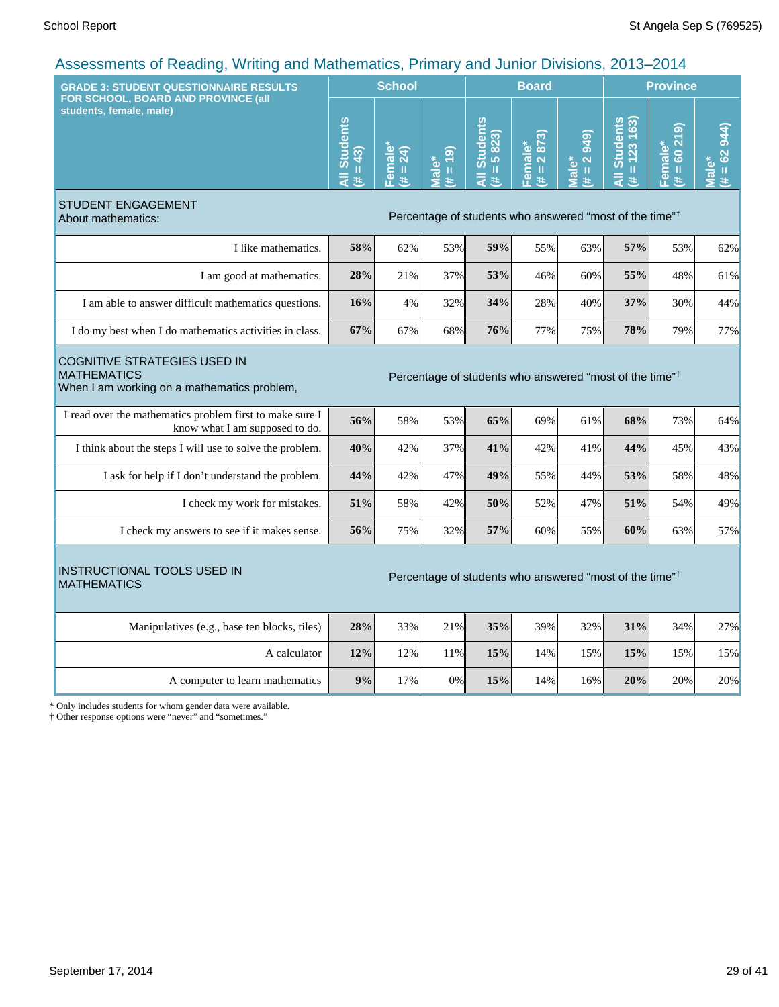| FOR SCHOOL, BOARD AND PROVINCE (all                                                                                                                                             | <b>School</b>               |                        |                    | <b>Board</b>                                                        |                        |                                                          | <b>Province</b>                                            |                                 |                                  |
|---------------------------------------------------------------------------------------------------------------------------------------------------------------------------------|-----------------------------|------------------------|--------------------|---------------------------------------------------------------------|------------------------|----------------------------------------------------------|------------------------------------------------------------|---------------------------------|----------------------------------|
| students, female, male)                                                                                                                                                         | <b>All Students</b><br>(43) | Female<br>24)<br>$# =$ | $(61 = #$<br>Male* | All Students<br>5823)<br>$\rm{II}$<br>进                             | Female*<br>(# = 2 873) | 949)<br>$\overline{\mathbf{N}}$<br>Male*<br>$\,$ II<br>茉 | <b>Students</b><br>163)<br>123<br>Ш<br>$\bar{a}$<br>$\ast$ | 60219<br>Female*<br>$\,$ H<br>巷 | $# = 62944$<br>Male <sup>®</sup> |
| STUDENT ENGAGEMENT<br>Percentage of students who answered "most of the time" <sup>†</sup><br>About mathematics:                                                                 |                             |                        |                    |                                                                     |                        |                                                          |                                                            |                                 |                                  |
| I like mathematics.                                                                                                                                                             | 58%                         | 62%                    | 53%                | 59%                                                                 | 55%                    | 63%                                                      | 57%                                                        | 53%                             | 62%                              |
| I am good at mathematics.                                                                                                                                                       | 28%                         | 21%                    | 37%                | 53%                                                                 | 46%                    | 60%                                                      | 55%                                                        | 48%                             | 61%                              |
| I am able to answer difficult mathematics questions.                                                                                                                            | 16%                         | 4%                     | 32%                | 34%                                                                 | 28%                    | 40%                                                      | 37%                                                        | 30%                             | 44%                              |
| I do my best when I do mathematics activities in class.                                                                                                                         | 67%                         | 67%                    | 68%                | 76%                                                                 | 77%                    | 75%                                                      | 78%                                                        | 79%                             | 77%                              |
| <b>COGNITIVE STRATEGIES USED IN</b><br><b>MATHEMATICS</b><br>Percentage of students who answered "most of the time" <sup>†</sup><br>When I am working on a mathematics problem, |                             |                        |                    |                                                                     |                        |                                                          |                                                            |                                 |                                  |
| I read over the mathematics problem first to make sure I<br>know what I am supposed to do.                                                                                      | 56%                         | 58%                    | 53%                | 65%                                                                 | 69%                    | 61%                                                      | 68%                                                        | 73%                             | 64%                              |
| I think about the steps I will use to solve the problem.                                                                                                                        | 40%                         | 42%                    | 37%                | 41%                                                                 | 42%                    | 41%                                                      | 44%                                                        | 45%                             | 43%                              |
| I ask for help if I don't understand the problem.                                                                                                                               | 44%                         | 42%                    | 47%                | 49%                                                                 | 55%                    | 44%                                                      | 53%                                                        | 58%                             | 48%                              |
| I check my work for mistakes.                                                                                                                                                   | 51%                         | 58%                    | 42%                | 50%                                                                 | 52%                    | 47%                                                      | 51%                                                        | 54%                             | 49%                              |
| I check my answers to see if it makes sense.                                                                                                                                    | 56%                         | 75%                    | 32%                | 57%                                                                 | 60%                    | 55%                                                      | 60%                                                        | 63%                             | 57%                              |
| <b>INSTRUCTIONAL TOOLS USED IN</b><br><b>MATHEMATICS</b>                                                                                                                        |                             |                        |                    | Percentage of students who answered "most of the time" <sup>†</sup> |                        |                                                          |                                                            |                                 |                                  |
| Manipulatives (e.g., base ten blocks, tiles)                                                                                                                                    | 28%                         | 33%                    | 21%                | 35%                                                                 | 39%                    | 32%                                                      | 31%                                                        | 34%                             | 27%                              |
| A calculator                                                                                                                                                                    | 12%                         | 12%                    | 11%                | 15%                                                                 | 14%                    | 15%                                                      | 15%                                                        | 15%                             | 15%                              |
| A computer to learn mathematics                                                                                                                                                 | 9%                          | 17%                    | 0%                 | 15%                                                                 | 14%                    | 16%                                                      | 20%                                                        | 20%                             | 20%                              |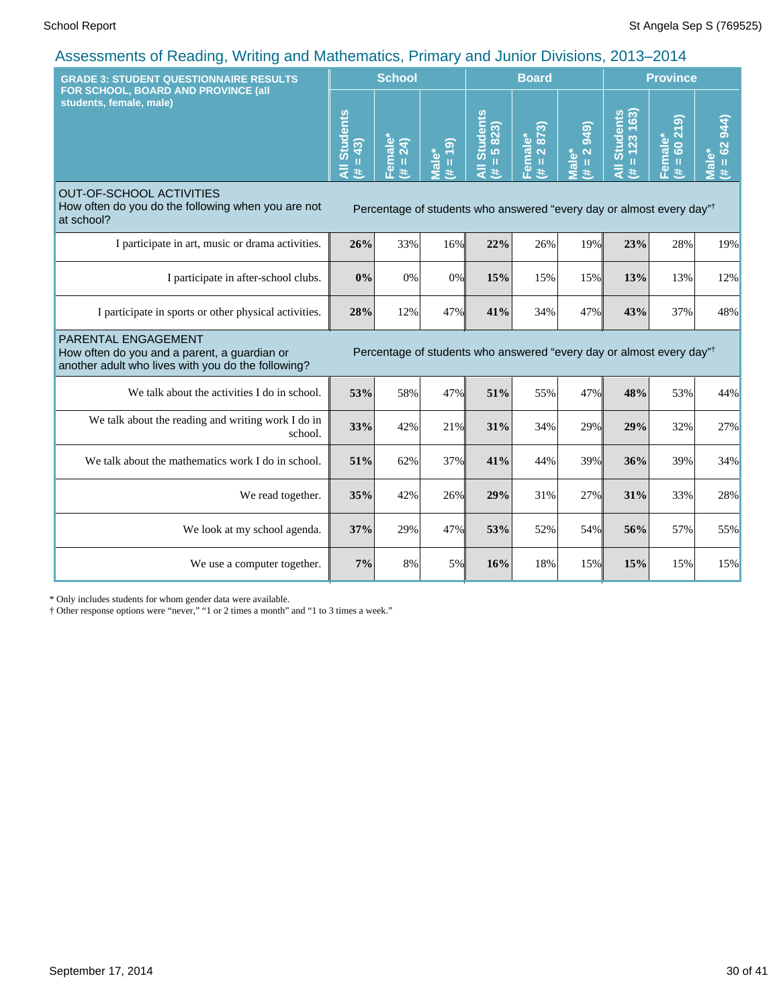| <b>GRADE 3: STUDENT QUESTIONNAIRE RESULTS</b>                                                                             |                                                                                  | <b>School</b>       |                           |                                                                                  | <b>Board</b>                                |                                             | <b>Province</b>                                  |                                                             |                              |
|---------------------------------------------------------------------------------------------------------------------------|----------------------------------------------------------------------------------|---------------------|---------------------------|----------------------------------------------------------------------------------|---------------------------------------------|---------------------------------------------|--------------------------------------------------|-------------------------------------------------------------|------------------------------|
| FOR SCHOOL, BOARD AND PROVINCE (all<br>students, female, male)                                                            | <b>Students</b><br>$= 43$<br>共                                                   | Female*<br>(# = 24) | $= 19$<br>Male*<br>$\ast$ | <b>Students</b><br>$= 5823$<br>₹<br>进                                            | Female*<br>$(\texttt{\#} = 2 \text{ } 873)$ | 949)<br>Male*<br>$\frac{1}{2}$<br>$\ddot{}$ | $= 123 163$<br><b>Students</b><br>$\bar{a}$<br>共 | ெ<br>$\overline{\mathbf{z}}$<br>Female*<br>8<br>$\,$ H<br>共 | 944)<br>$= 62$<br>Male*<br>共 |
| <b>OUT-OF-SCHOOL ACTIVITIES</b><br>How often do you do the following when you are not<br>at school?                       | Percentage of students who answered "every day or almost every day" <sup>†</sup> |                     |                           |                                                                                  |                                             |                                             |                                                  |                                                             |                              |
| I participate in art, music or drama activities.                                                                          | 26%                                                                              | 33%                 | 16%                       | 22%                                                                              | 26%                                         | 19%                                         | 23%                                              | 28%                                                         | 19%                          |
| I participate in after-school clubs.                                                                                      | 0%                                                                               | 0%                  | $0\%$                     | 15%                                                                              | 15%                                         | 15%                                         | 13%                                              | 13%                                                         | 12%                          |
| I participate in sports or other physical activities.                                                                     | 28%                                                                              | 12%                 | 47%                       | 41%                                                                              | 34%                                         | 47%                                         | 43%                                              | 37%                                                         | 48%                          |
| PARENTAL ENGAGEMENT<br>How often do you and a parent, a guardian or<br>another adult who lives with you do the following? |                                                                                  |                     |                           | Percentage of students who answered "every day or almost every day" <sup>†</sup> |                                             |                                             |                                                  |                                                             |                              |
| We talk about the activities I do in school.                                                                              | 53%                                                                              | 58%                 | 47%                       | 51%                                                                              | 55%                                         | 47%                                         | 48%                                              | 53%                                                         | 44%                          |
| We talk about the reading and writing work I do in<br>school.                                                             | 33%                                                                              | 42%                 | 21%                       | 31%                                                                              | 34%                                         | 29%                                         | 29%                                              | 32%                                                         | 27%                          |
| We talk about the mathematics work I do in school.                                                                        | 51%                                                                              | 62%                 | 37%                       | 41%                                                                              | 44%                                         | 39%                                         | 36%                                              | 39%                                                         | 34%                          |
| We read together.                                                                                                         | 35%                                                                              | 42%                 | 26%                       | 29%                                                                              | 31%                                         | 27%                                         | 31%                                              | 33%                                                         | 28%                          |
| We look at my school agenda.                                                                                              | 37%                                                                              | 29%                 | 47%                       | 53%                                                                              | 52%                                         | 54%                                         | 56%                                              | 57%                                                         | 55%                          |
| We use a computer together.                                                                                               | 7%                                                                               | 8%                  | 5%                        | 16%                                                                              | 18%                                         | 15%                                         | 15%                                              | 15%                                                         | 15%                          |

\* Only includes students for whom gender data were available.

† Other response options were "never," "1 or 2 times a month" and "1 to 3 times a week."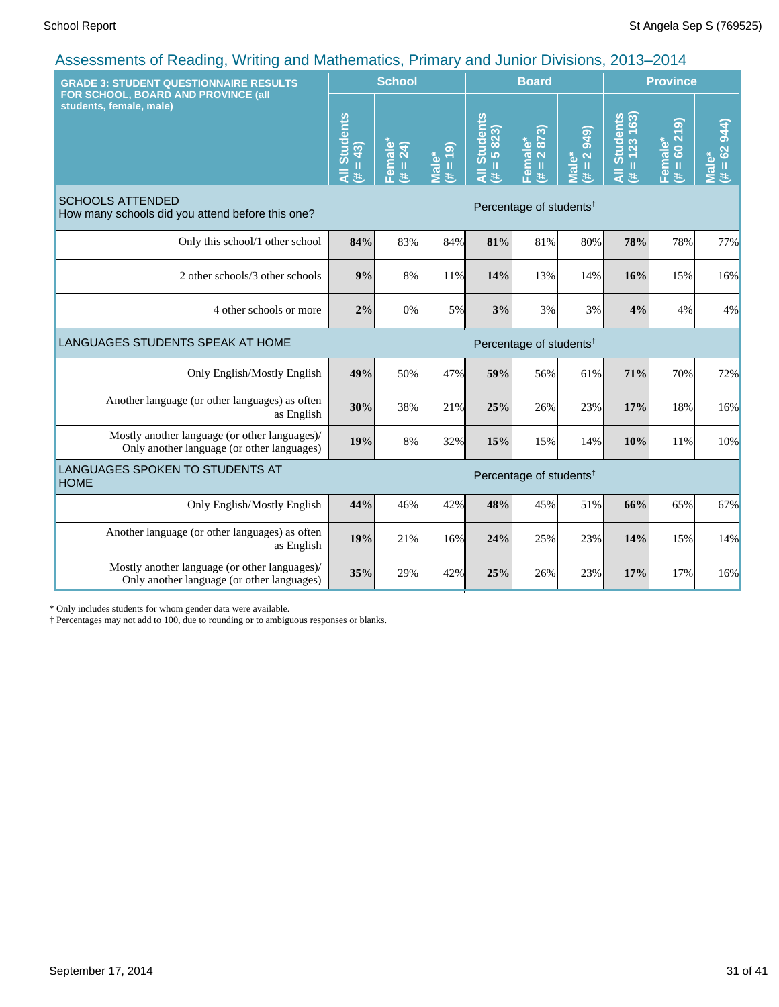| <b>GRADE 3: STUDENT QUESTIONNAIRE RESULTS</b>                                               |                                     | <b>School</b>       |                      |                                      | <b>Board</b>                        |                                   | <b>Province</b>                         |                                                        |                      |
|---------------------------------------------------------------------------------------------|-------------------------------------|---------------------|----------------------|--------------------------------------|-------------------------------------|-----------------------------------|-----------------------------------------|--------------------------------------------------------|----------------------|
| FOR SCHOOL, BOARD AND PROVINCE (all<br>students, female, male)                              | All Students<br>$= 43$<br>共         | Female*<br>(# = 24) | $(4t = 19)$<br>Male* | <b>All Students</b><br>$= 5823$<br>巷 | 2873)<br>Female*<br>$\,$ II<br>进    | <b>949</b><br>$(\# = 2)$<br>Male* | <b>All Students</b><br>$= 123 163$<br>违 | ெ<br>$\overline{\mathbf{z}}$<br>Female*<br>$= 60$<br>违 | $# = 62944$<br>Male* |
| <b>SCHOOLS ATTENDED</b><br>How many schools did you attend before this one?                 | Percentage of students <sup>†</sup> |                     |                      |                                      |                                     |                                   |                                         |                                                        |                      |
| Only this school/1 other school                                                             | 84%                                 | 83%                 | 84%                  | 81%                                  | 81%                                 | 80%                               | 78%                                     | 78%                                                    | 77%                  |
| 2 other schools/3 other schools                                                             | 9%                                  | 8%                  | 11%                  | 14%                                  | 13%                                 | 14%                               | 16%                                     | 15%                                                    | 16%                  |
| 4 other schools or more                                                                     | 2%                                  | 0%                  | 5%                   | 3%                                   | 3%                                  | 3%                                | 4%                                      | 4%                                                     | 4%                   |
| LANGUAGES STUDENTS SPEAK AT HOME                                                            |                                     |                     |                      |                                      | Percentage of students <sup>†</sup> |                                   |                                         |                                                        |                      |
| Only English/Mostly English                                                                 | 49%                                 | 50%                 | 47%                  | 59%                                  | 56%                                 | 61%                               | 71%                                     | 70%                                                    | 72%                  |
| Another language (or other languages) as often<br>as English                                | 30%                                 | 38%                 | 21%                  | 25%                                  | 26%                                 | 23%                               | 17%                                     | 18%                                                    | 16%                  |
| Mostly another language (or other languages)/<br>Only another language (or other languages) | 19%                                 | 8%                  | 32%                  | 15%                                  | 15%                                 | 14%                               | 10%                                     | 11%                                                    | 10%                  |
| LANGUAGES SPOKEN TO STUDENTS AT<br><b>HOME</b>                                              |                                     |                     |                      |                                      | Percentage of students <sup>†</sup> |                                   |                                         |                                                        |                      |
| Only English/Mostly English                                                                 | 44%                                 | 46%                 | 42%                  | 48%                                  | 45%                                 | 51%                               | 66%                                     | 65%                                                    | 67%                  |
| Another language (or other languages) as often<br>as English                                | 19%                                 | 21%                 | 16%                  | 24%                                  | 25%                                 | 23%                               | 14%                                     | 15%                                                    | 14%                  |
| Mostly another language (or other languages)/<br>Only another language (or other languages) | 35%                                 | 29%                 | 42%                  | 25%                                  | 26%                                 | 23%                               | 17%                                     | 17%                                                    | 16%                  |

\* Only includes students for whom gender data were available.

† Percentages may not add to 100, due to rounding or to ambiguous responses or blanks.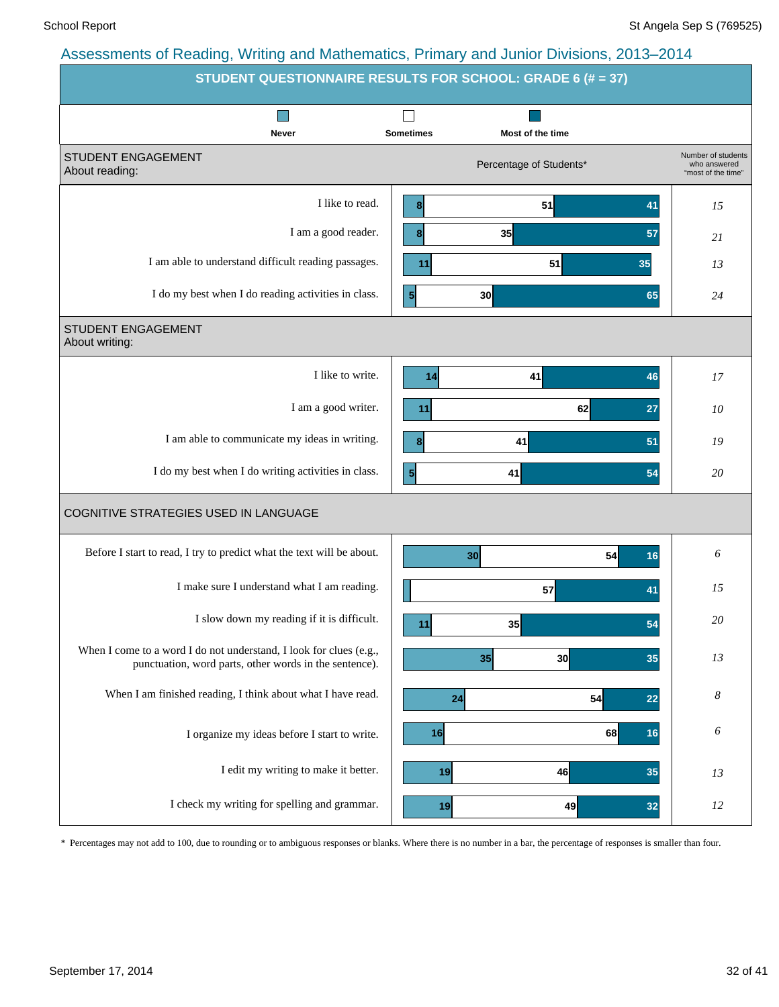|                                                                                                                              | STUDENT QUESTIONNAIRE RESULTS FOR SCHOOL: GRADE 6 (# = 37) |                                                          |
|------------------------------------------------------------------------------------------------------------------------------|------------------------------------------------------------|----------------------------------------------------------|
| ×<br>Never                                                                                                                   | <b>Sometimes</b><br>Most of the time                       |                                                          |
| STUDENT ENGAGEMENT<br>About reading:                                                                                         | Percentage of Students*                                    | Number of students<br>who answered<br>"most of the time" |
| I like to read.                                                                                                              | 51<br>$\boldsymbol{8}$<br>41                               | 15                                                       |
| I am a good reader.                                                                                                          | 35<br>8 <sup>1</sup><br>57                                 | 21                                                       |
| I am able to understand difficult reading passages.                                                                          | 51<br>11<br>35                                             | 13                                                       |
| I do my best when I do reading activities in class.                                                                          | $\mathbf{5}$<br>30 <sup>1</sup><br>65                      | 24                                                       |
| STUDENT ENGAGEMENT<br>About writing:                                                                                         |                                                            |                                                          |
| I like to write.                                                                                                             | 41<br>46<br>14                                             | 17                                                       |
| I am a good writer.                                                                                                          | 62<br>27<br>11                                             | 10                                                       |
| I am able to communicate my ideas in writing.                                                                                | 41<br>51<br>8                                              | 19                                                       |
| I do my best when I do writing activities in class.                                                                          | $\vert 5 \vert$<br>41<br>54                                | 20                                                       |
| COGNITIVE STRATEGIES USED IN LANGUAGE                                                                                        |                                                            |                                                          |
| Before I start to read, I try to predict what the text will be about.                                                        | 54<br>30<br>16                                             | 6                                                        |
| I make sure I understand what I am reading.                                                                                  | 57<br>41                                                   | 15                                                       |
| I slow down my reading if it is difficult.                                                                                   | 35<br>54<br>11                                             | 20                                                       |
| When I come to a word I do not understand, I look for clues (e.g.,<br>punctuation, word parts, other words in the sentence). | 35<br>30<br>35                                             | 13                                                       |
| When I am finished reading, I think about what I have read.                                                                  | 54<br>24<br>22                                             | 8                                                        |
| I organize my ideas before I start to write.                                                                                 | 16<br>68<br>16                                             | 6                                                        |
| I edit my writing to make it better.                                                                                         | 46<br>35<br>19                                             | 13                                                       |
| I check my writing for spelling and grammar.                                                                                 | 49<br>19<br>32                                             | 12                                                       |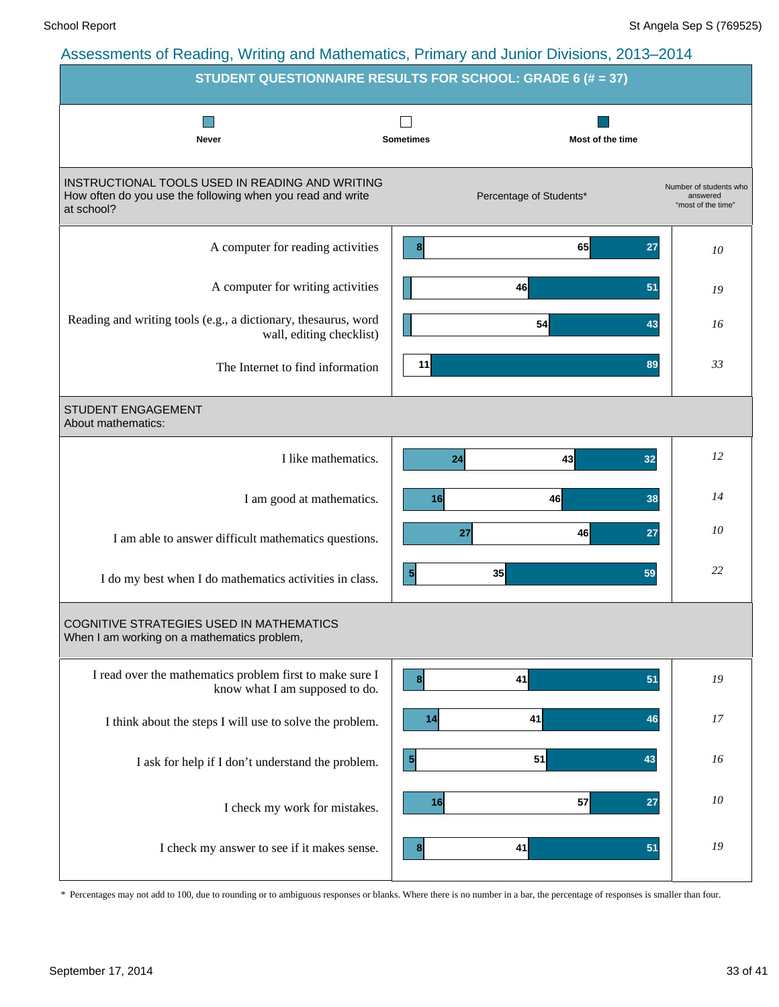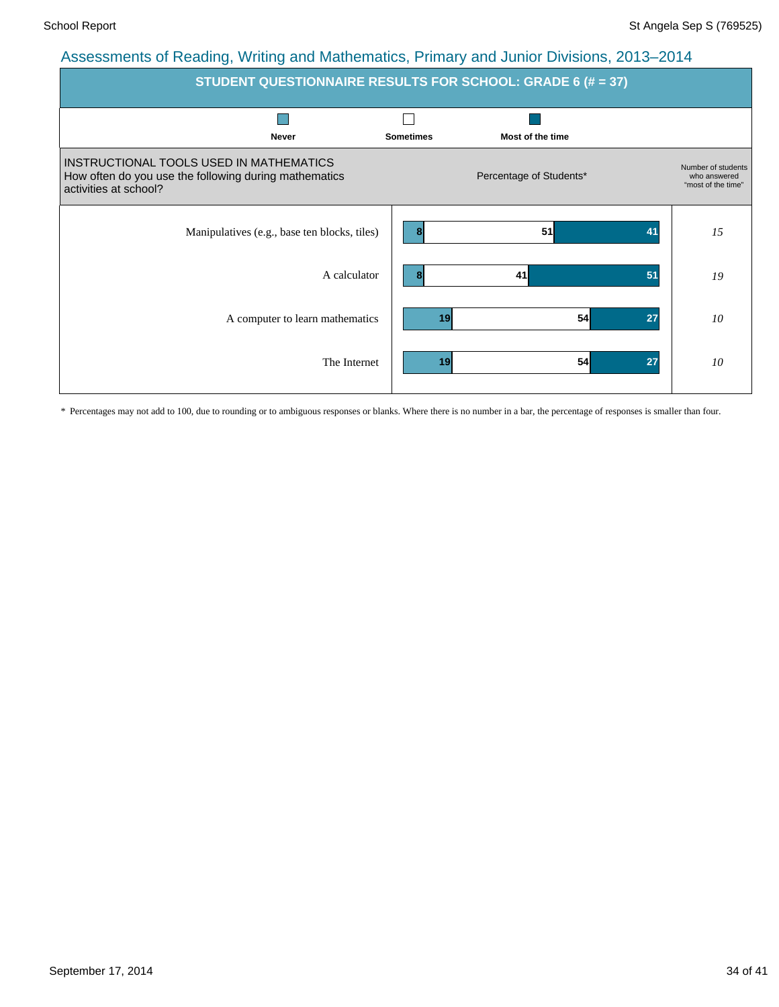| <b>STUDENT QUESTIONNAIRE RESULTS FOR SCHOOL: GRADE 6 (# = 37)</b>                                                         |                                      |                                                          |  |  |  |  |  |  |  |  |
|---------------------------------------------------------------------------------------------------------------------------|--------------------------------------|----------------------------------------------------------|--|--|--|--|--|--|--|--|
| <b>Never</b>                                                                                                              | <b>Sometimes</b><br>Most of the time |                                                          |  |  |  |  |  |  |  |  |
| INSTRUCTIONAL TOOLS USED IN MATHEMATICS<br>How often do you use the following during mathematics<br>activities at school? | Percentage of Students*              | Number of students<br>who answered<br>"most of the time" |  |  |  |  |  |  |  |  |
| Manipulatives (e.g., base ten blocks, tiles)                                                                              | 51<br>41<br>8                        | 15                                                       |  |  |  |  |  |  |  |  |
| A calculator                                                                                                              | 41<br>51                             | 19                                                       |  |  |  |  |  |  |  |  |
| A computer to learn mathematics                                                                                           | 54<br>27<br>19                       | 10                                                       |  |  |  |  |  |  |  |  |
| The Internet                                                                                                              | 54<br>27<br>19                       | 10                                                       |  |  |  |  |  |  |  |  |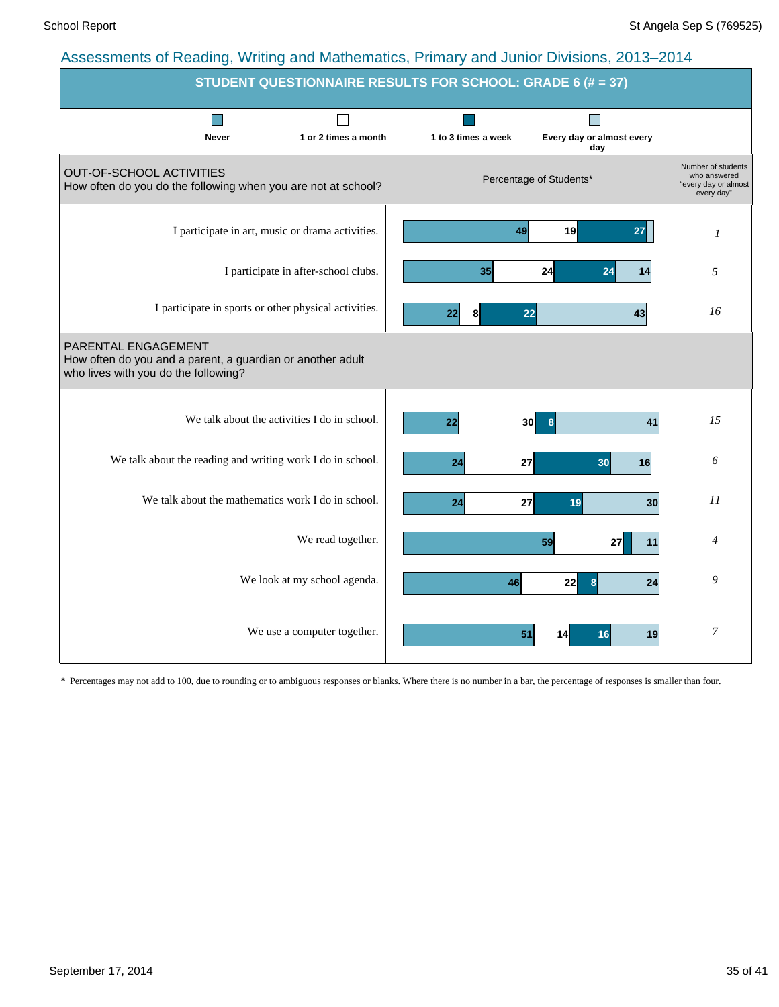| STUDENT QUESTIONNAIRE RESULTS FOR SCHOOL: GRADE 6 (# = 37)                                                                |  |                     |                                  |                                                                          |  |  |  |  |  |
|---------------------------------------------------------------------------------------------------------------------------|--|---------------------|----------------------------------|--------------------------------------------------------------------------|--|--|--|--|--|
| <b>Never</b><br>1 or 2 times a month                                                                                      |  | 1 to 3 times a week | Every day or almost every<br>day |                                                                          |  |  |  |  |  |
| OUT-OF-SCHOOL ACTIVITIES<br>How often do you do the following when you are not at school?                                 |  |                     | Percentage of Students*          | Number of students<br>who answered<br>"every day or almost<br>every day" |  |  |  |  |  |
| I participate in art, music or drama activities.                                                                          |  | 49                  | 19<br>27                         | $\boldsymbol{l}$                                                         |  |  |  |  |  |
| I participate in after-school clubs.                                                                                      |  | 35                  | 24<br>24<br>14                   | 5                                                                        |  |  |  |  |  |
| I participate in sports or other physical activities.                                                                     |  | 8<br>22             | 22<br>43                         | 16                                                                       |  |  |  |  |  |
| PARENTAL ENGAGEMENT<br>How often do you and a parent, a guardian or another adult<br>who lives with you do the following? |  |                     |                                  |                                                                          |  |  |  |  |  |
| We talk about the activities I do in school.                                                                              |  | 22<br>30            | 8<br>41                          | 15                                                                       |  |  |  |  |  |
| We talk about the reading and writing work I do in school.                                                                |  | 24<br>27            | 30<br>16                         | 6                                                                        |  |  |  |  |  |
| We talk about the mathematics work I do in school.                                                                        |  | 24<br>27            | 19<br>30                         | 11                                                                       |  |  |  |  |  |
| We read together.                                                                                                         |  |                     | 59<br>27<br>11                   | 4                                                                        |  |  |  |  |  |
| We look at my school agenda.                                                                                              |  | 46                  | 22<br>24<br>8                    | 9                                                                        |  |  |  |  |  |
| We use a computer together.                                                                                               |  | 51                  | 19<br>14<br>16                   | $\boldsymbol{7}$                                                         |  |  |  |  |  |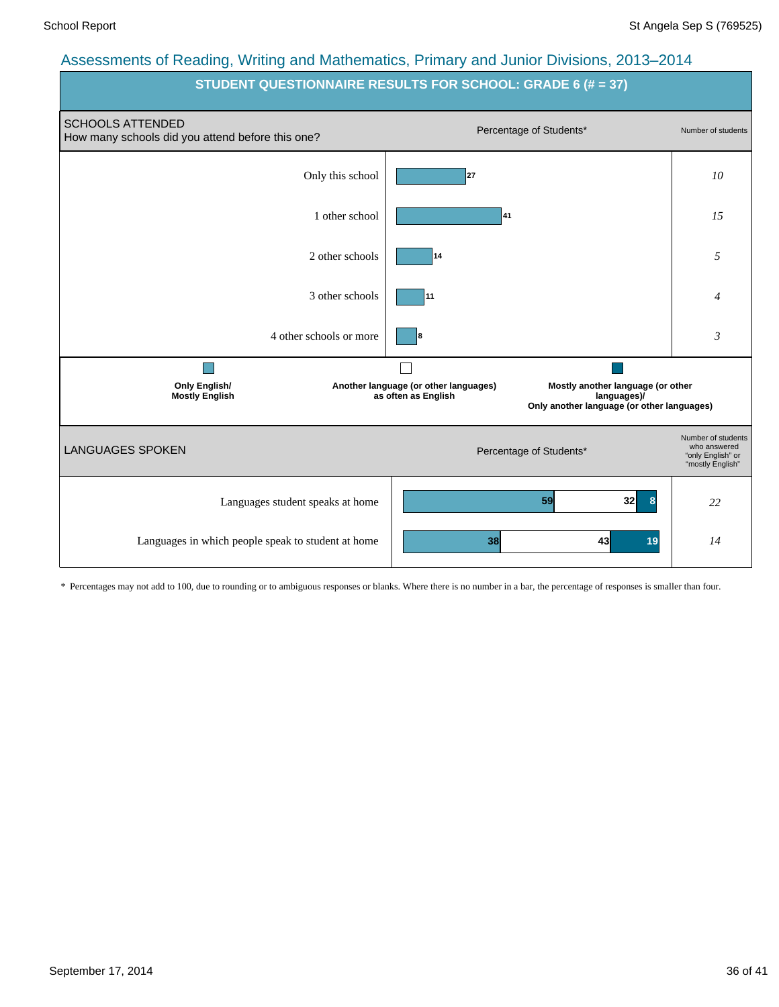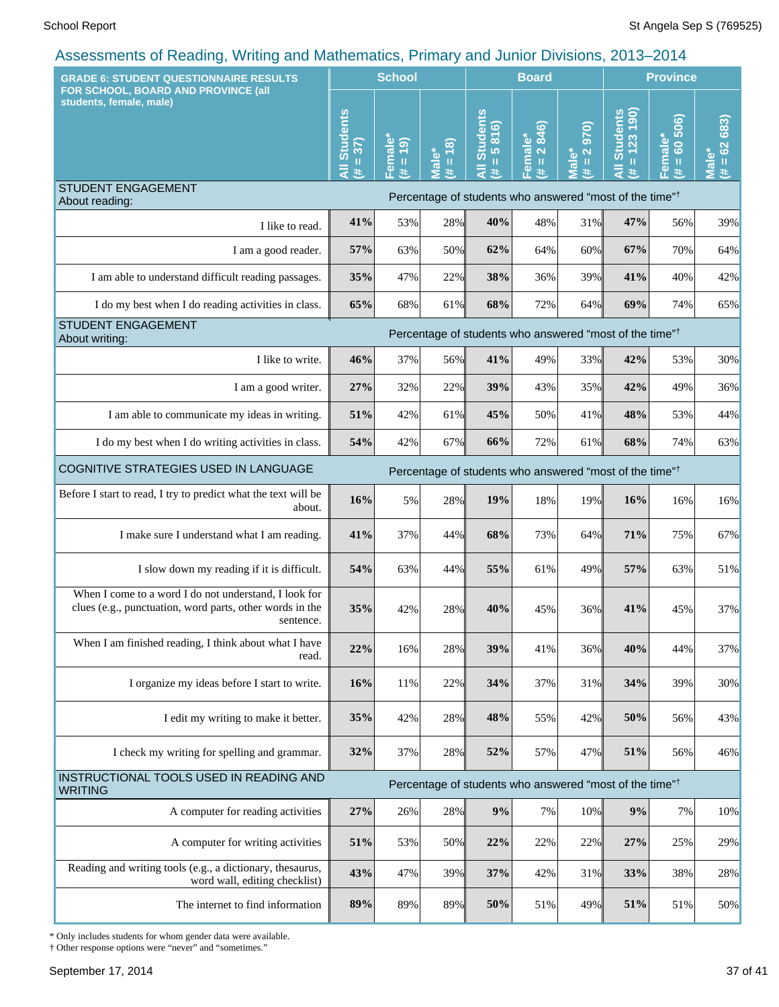| <b>GRADE 6: STUDENT QUESTIONNAIRE RESULTS</b>                                                                                  |                                             | <b>School</b>                                                     |                                                                       |                                                         | <b>Board</b>                                     |                                                               | <b>Province</b>                                                     |                            |                           |
|--------------------------------------------------------------------------------------------------------------------------------|---------------------------------------------|-------------------------------------------------------------------|-----------------------------------------------------------------------|---------------------------------------------------------|--------------------------------------------------|---------------------------------------------------------------|---------------------------------------------------------------------|----------------------------|---------------------------|
| FOR SCHOOL, BOARD AND PROVINCE (all<br>students, female, male)                                                                 | <b>Students</b><br>$= 37$<br>$\bar{a}$<br>共 | male <sup>®</sup><br>(61)<br>$\,$ H<br>$\boldsymbol{\omega}$<br>进 | $\frac{1}{2}$<br>້ຍ<br>$\mathbf H$<br>$\overline{\mathbf{a}}$<br>$\#$ | <b>All Students</b><br>816)<br>lo.<br>$\mathbf{H}$<br>进 | 846)<br>Female*<br>$\ddot{\sim}$<br>$\,$ II<br>违 | 970<br>$\overline{\mathbf{N}}$<br>Male*<br>$\mathbf{u}$<br>y. | $= 123190$<br><b>Students</b><br>L                                  | $= 60,506$<br>Female*<br>违 | 683)<br>$= 62$<br>gl<br>艺 |
| <b>STUDENT ENGAGEMENT</b><br>About reading:                                                                                    |                                             |                                                                   |                                                                       |                                                         |                                                  |                                                               | Percentage of students who answered "most of the time" <sup>†</sup> |                            |                           |
| I like to read.                                                                                                                | 41%                                         | 53%                                                               | 28%                                                                   | 40%                                                     | 48%                                              | 31%                                                           | 47%                                                                 | 56%                        | 39%                       |
| I am a good reader.                                                                                                            | 57%                                         | 63%                                                               | 50%                                                                   | 62%                                                     | 64%                                              | 60%                                                           | 67%                                                                 | 70%                        | 64%                       |
| I am able to understand difficult reading passages.                                                                            | 35%                                         | 47%                                                               | 22%                                                                   | 38%                                                     | 36%                                              | 39%                                                           | 41%                                                                 | 40%                        | 42%                       |
| I do my best when I do reading activities in class.                                                                            | 65%                                         | 68%                                                               | 61%                                                                   | 68%                                                     | 72%                                              | 64%                                                           | 69%                                                                 | 74%                        | 65%                       |
| STUDENT ENGAGEMENT<br>About writing:                                                                                           |                                             |                                                                   |                                                                       |                                                         |                                                  |                                                               | Percentage of students who answered "most of the time" <sup>†</sup> |                            |                           |
| I like to write.                                                                                                               | 46%                                         | 37%                                                               | 56%                                                                   | 41%                                                     | 49%                                              | 33%                                                           | 42%                                                                 | 53%                        | 30%                       |
| I am a good writer.                                                                                                            | 27%                                         | 32%                                                               | 22%                                                                   | 39%                                                     | 43%                                              | 35%                                                           | 42%                                                                 | 49%                        | 36%                       |
| I am able to communicate my ideas in writing.                                                                                  | 51%                                         | 42%                                                               | 61%                                                                   | 45%                                                     | 50%                                              | 41%                                                           | 48%                                                                 | 53%                        | 44%                       |
| I do my best when I do writing activities in class.                                                                            | 54%                                         | 42%                                                               | 67%                                                                   | 66%                                                     | 72%                                              | 61%                                                           | 68%                                                                 | 74%                        | 63%                       |
| COGNITIVE STRATEGIES USED IN LANGUAGE<br>Percentage of students who answered "most of the time" <sup>†</sup>                   |                                             |                                                                   |                                                                       |                                                         |                                                  |                                                               |                                                                     |                            |                           |
| Before I start to read, I try to predict what the text will be<br>about.                                                       | 16%                                         | 5%                                                                | 28%                                                                   | 19%                                                     | 18%                                              | 19%                                                           | 16%                                                                 | 16%                        | 16%                       |
| I make sure I understand what I am reading.                                                                                    | 41%                                         | 37%                                                               | 44%                                                                   | 68%                                                     | 73%                                              | 64%                                                           | 71%                                                                 | 75%                        | 67%                       |
| I slow down my reading if it is difficult.                                                                                     | 54%                                         | 63%                                                               | 44%                                                                   | 55%                                                     | 61%                                              | 49%                                                           | 57%                                                                 | 63%                        | 51%                       |
| When I come to a word I do not understand, I look for<br>clues (e.g., punctuation, word parts, other words in the<br>sentence. | 35%                                         | 42%                                                               | 28%                                                                   | 40%                                                     | 45%                                              | 36%                                                           | 41%                                                                 | 45%                        | 37%                       |
| When I am finished reading, I think about what I have<br>read.                                                                 | 22%                                         | 16%                                                               | 28%                                                                   | 39%                                                     | 41%                                              | 36%                                                           | 40%                                                                 | 44%                        | 37%                       |
| I organize my ideas before I start to write.                                                                                   | 16%                                         | 11%                                                               | 22%                                                                   | 34%                                                     | 37%                                              | 31%                                                           | 34%                                                                 | 39%                        | 30%                       |
| I edit my writing to make it better.                                                                                           | 35%                                         | 42%                                                               | 28%                                                                   | 48%                                                     | 55%                                              | 42%                                                           | 50%                                                                 | 56%                        | 43%                       |
| I check my writing for spelling and grammar.                                                                                   | 32%                                         | 37%                                                               | 28%                                                                   | 52%                                                     | 57%                                              | 47%                                                           | 51%                                                                 | 56%                        | 46%                       |
| INSTRUCTIONAL TOOLS USED IN READING AND<br><b>WRITING</b>                                                                      |                                             |                                                                   |                                                                       |                                                         |                                                  |                                                               | Percentage of students who answered "most of the time" <sup>†</sup> |                            |                           |
| A computer for reading activities                                                                                              | 27%                                         | 26%                                                               | 28%                                                                   | $9\%$                                                   | 7%                                               | 10%                                                           | 9%                                                                  | 7%                         | 10%                       |
| A computer for writing activities                                                                                              | 51%                                         | 53%                                                               | 50%                                                                   | 22%                                                     | 22%                                              | 22%                                                           | 27%                                                                 | 25%                        | 29%                       |
| Reading and writing tools (e.g., a dictionary, thesaurus,<br>word wall, editing checklist)                                     | 43%                                         | 47%                                                               | 39%                                                                   | 37%                                                     | 42%                                              | 31%                                                           | 33%                                                                 | 38%                        | 28%                       |
| The internet to find information                                                                                               | 89%                                         | 89%                                                               | 89%                                                                   | 50%                                                     | 51%                                              | 49%                                                           | 51%                                                                 | 51%                        | 50%                       |

\* Only includes students for whom gender data were available.

† Other response options were "never" and "sometimes."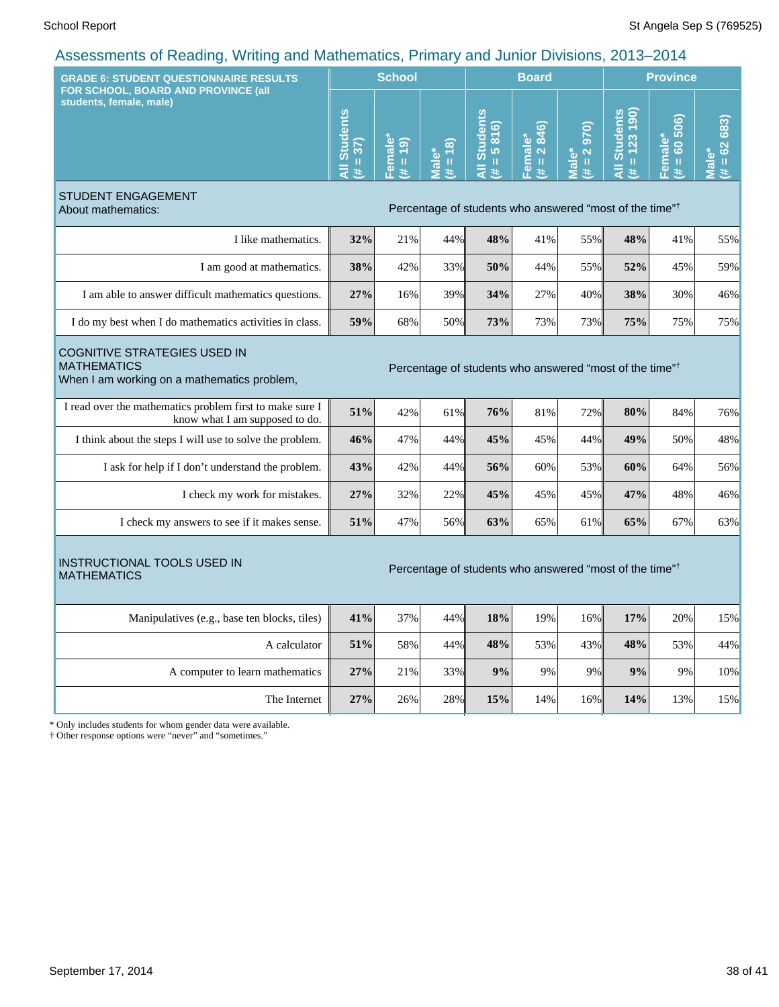| sooonnomo of Hodding,<br>1.111117<br><b>GRADE 6: STUDENT QUESTIONNAIRE RESULTS</b>                                                                                              |                             | <b>School</b>                                    |                      | <b>Board</b>                                                        |                        |                                                                        |                                                                     | <b>Province</b>                                  |                                            |  |
|---------------------------------------------------------------------------------------------------------------------------------------------------------------------------------|-----------------------------|--------------------------------------------------|----------------------|---------------------------------------------------------------------|------------------------|------------------------------------------------------------------------|---------------------------------------------------------------------|--------------------------------------------------|--------------------------------------------|--|
| FOR SCHOOL, BOARD AND PROVINCE (all<br>students, female, male)                                                                                                                  | All Students<br>$= 37$<br>进 | Female <sup>*</sup><br>(61)<br>$\mathbf{u}$<br>斐 | $= 18$<br>Male*<br># | <b>All Students</b><br>5816)<br>Ш<br>#                              | Female*<br>(# = 2 846) | 970<br>$\overline{\mathbf{N}}$<br>Male*<br>$\, \, \mathrm{II} \,$<br># | <b>All Students</b><br>$\overline{190}$<br>123<br>$\mathbf{I}$<br>共 | 506)<br>Female*<br>$\ddot{\mathbf{S}}$<br>Ш<br>进 | $= 62683$<br>$\bar{\bar{\mathbf{c}}}$<br>共 |  |
| <b>STUDENT ENGAGEMENT</b><br>About mathematics:                                                                                                                                 |                             |                                                  |                      | Percentage of students who answered "most of the time" <sup>†</sup> |                        |                                                                        |                                                                     |                                                  |                                            |  |
| I like mathematics.                                                                                                                                                             | 32%                         | 21%                                              | 44%                  | 48%                                                                 | 41%                    | 55%                                                                    | 48%                                                                 | 41%                                              | 55%                                        |  |
| I am good at mathematics.                                                                                                                                                       | 38%                         | 42%                                              | 33%                  | 50%                                                                 | 44%                    | 55%                                                                    | 52%                                                                 | 45%                                              | 59%                                        |  |
| I am able to answer difficult mathematics questions.                                                                                                                            | 27%                         | 16%                                              | 39%                  | 34%                                                                 | 27%                    | 40%                                                                    | 38%                                                                 | 30%                                              | 46%                                        |  |
| I do my best when I do mathematics activities in class.                                                                                                                         | 59%                         | 68%                                              | 50%                  | 73%                                                                 | 73%                    | 73%                                                                    | 75%                                                                 | 75%                                              | 75%                                        |  |
| <b>COGNITIVE STRATEGIES USED IN</b><br><b>MATHEMATICS</b><br>Percentage of students who answered "most of the time" <sup>†</sup><br>When I am working on a mathematics problem, |                             |                                                  |                      |                                                                     |                        |                                                                        |                                                                     |                                                  |                                            |  |
| I read over the mathematics problem first to make sure I<br>know what I am supposed to do.                                                                                      | 51%                         | 42%                                              | 61%                  | 76%                                                                 | 81%                    | 72%                                                                    | 80%                                                                 | 84%                                              | 76%                                        |  |
| I think about the steps I will use to solve the problem.                                                                                                                        | 46%                         | 47%                                              | 44%                  | 45%                                                                 | 45%                    | 44%                                                                    | 49%                                                                 | 50%                                              | 48%                                        |  |
| I ask for help if I don't understand the problem.                                                                                                                               | 43%                         | 42%                                              | 44%                  | 56%                                                                 | 60%                    | 53%                                                                    | 60%                                                                 | 64%                                              | 56%                                        |  |
| I check my work for mistakes.                                                                                                                                                   | 27%                         | 32%                                              | 22%                  | 45%                                                                 | 45%                    | 45%                                                                    | 47%                                                                 | 48%                                              | 46%                                        |  |
| I check my answers to see if it makes sense.                                                                                                                                    | 51%                         | 47%                                              | 56%                  | 63%                                                                 | 65%                    | 61%                                                                    | 65%                                                                 | 67%                                              | 63%                                        |  |
| INSTRUCTIONAL TOOLS USED IN<br><b>MATHEMATICS</b>                                                                                                                               |                             |                                                  |                      | Percentage of students who answered "most of the time" <sup>†</sup> |                        |                                                                        |                                                                     |                                                  |                                            |  |
| Manipulatives (e.g., base ten blocks, tiles)                                                                                                                                    | 41%                         | 37%                                              | 44%                  | 18%                                                                 | 19%                    | 16%                                                                    | 17%                                                                 | 20%                                              | 15%                                        |  |
| A calculator                                                                                                                                                                    | 51%                         | 58%                                              | 44%                  | 48%                                                                 | 53%                    | 43%                                                                    | 48%                                                                 | 53%                                              | 44%                                        |  |
| A computer to learn mathematics                                                                                                                                                 | 27%                         | 21%                                              | 33%                  | 9%                                                                  | 9%                     | 9%                                                                     | 9%                                                                  | 9%                                               | 10%                                        |  |
| The Internet                                                                                                                                                                    | 27%                         | 26%                                              | 28%                  | 15%                                                                 | 14%                    | 16%                                                                    | 14%                                                                 | 13%                                              | 15%                                        |  |
| * Only includes students for whom gender data were available.<br>ther regnonge options were "never" and "semetimes"                                                             |                             |                                                  |                      |                                                                     |                        |                                                                        |                                                                     |                                                  |                                            |  |

† Other response options were "never" and "sometimes."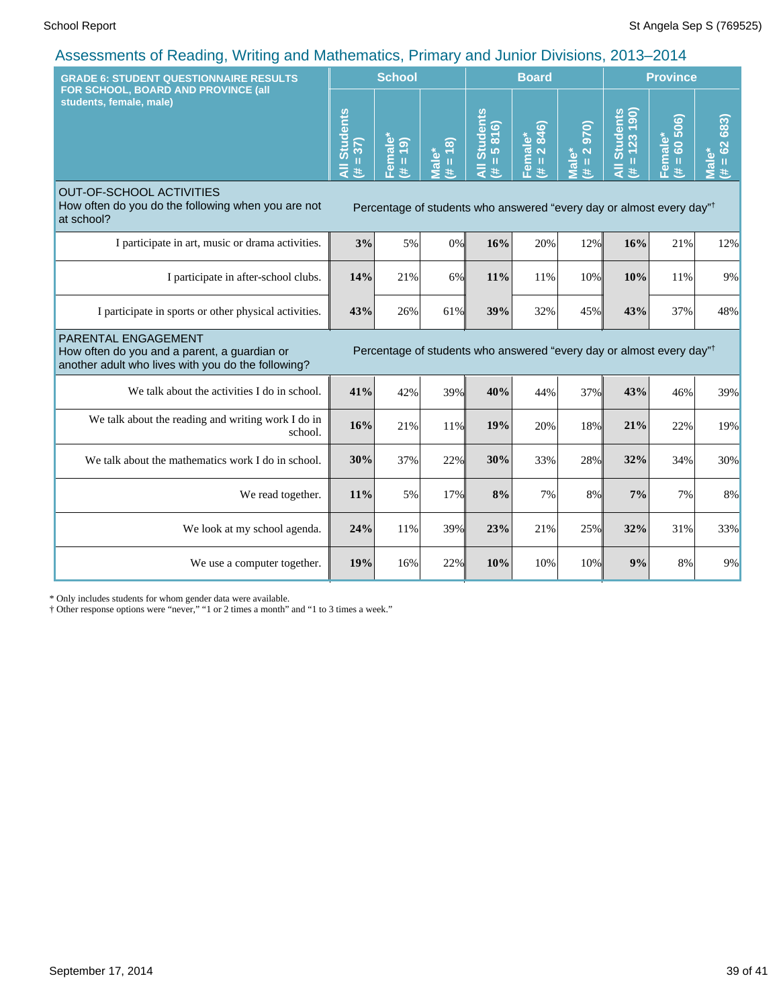| <b>GRADE 6: STUDENT QUESTIONNAIRE RESULTS</b>                                                                                                                                                    |                                                                                  | <b>School</b>                                      |                     |                                       | <b>Board</b>           |                                         |                                          | <b>Province</b>                         |                              |  |
|--------------------------------------------------------------------------------------------------------------------------------------------------------------------------------------------------|----------------------------------------------------------------------------------|----------------------------------------------------|---------------------|---------------------------------------|------------------------|-----------------------------------------|------------------------------------------|-----------------------------------------|------------------------------|--|
| FOR SCHOOL, BOARD AND PROVINCE (all<br>students, female, male)                                                                                                                                   | <b>Students</b><br>$= 37$<br>$\bar{a}$<br>进                                      | Female*<br>$\boxed{9}$<br>$\, \, \mathrm{II}$<br>主 | $(4 = 18)$<br>Male* | <b>Students</b><br>$= 5816$<br>₹<br>进 | Female*<br>(# = 2 846) | 970)<br>$(\# = 2)$<br>Male <sup>*</sup> | $= 123 190$<br><b>Students</b><br>₹<br>主 | 60 506)<br>Female*<br>$\mathbf{u}$<br>主 | 683)<br>$= 62$<br>Male*<br>进 |  |
| <b>OUT-OF-SCHOOL ACTIVITIES</b><br>How often do you do the following when you are not<br>at school?                                                                                              | Percentage of students who answered "every day or almost every day" <sup>†</sup> |                                                    |                     |                                       |                        |                                         |                                          |                                         |                              |  |
| I participate in art, music or drama activities.                                                                                                                                                 | 3%                                                                               | 5%                                                 | $0\%$               | 16%                                   | 20%                    | 12%                                     | 16%                                      | 21%                                     | 12%                          |  |
| I participate in after-school clubs.                                                                                                                                                             | 14%                                                                              | 21%                                                | $6\%$               | 11%                                   | 11%                    | 10%                                     | 10%                                      | 11%                                     | 9%                           |  |
| I participate in sports or other physical activities.                                                                                                                                            | 43%                                                                              | 26%                                                | 61%                 | 39%                                   | 32%                    | 45%                                     | 43%                                      | 37%                                     | 48%                          |  |
| PARENTAL ENGAGEMENT<br>Percentage of students who answered "every day or almost every day"<br>How often do you and a parent, a guardian or<br>another adult who lives with you do the following? |                                                                                  |                                                    |                     |                                       |                        |                                         |                                          |                                         |                              |  |
| We talk about the activities I do in school.                                                                                                                                                     | 41%                                                                              | 42%                                                | 39%                 | 40%                                   | 44%                    | 37%                                     | 43%                                      | 46%                                     | 39%                          |  |
| We talk about the reading and writing work I do in<br>school.                                                                                                                                    | 16%                                                                              | 21%                                                | 11%                 | 19%                                   | 20%                    | 18%                                     | 21%                                      | 22%                                     | 19%                          |  |
| We talk about the mathematics work I do in school.                                                                                                                                               | 30%                                                                              | 37%                                                | 22%                 | 30%                                   | 33%                    | 28%                                     | 32%                                      | 34%                                     | 30%                          |  |
| We read together.                                                                                                                                                                                | 11%                                                                              | 5%                                                 | 17%                 | 8%                                    | 7%                     | 8%                                      | 7%                                       | 7%                                      | 8%                           |  |
| We look at my school agenda.                                                                                                                                                                     | 24%                                                                              | 11%                                                | 39%                 | 23%                                   | 21%                    | 25%                                     | 32%                                      | 31%                                     | 33%                          |  |
| We use a computer together.                                                                                                                                                                      |                                                                                  | 16%                                                | 22%                 | 10%                                   | 10%                    | 10%                                     | 9%                                       | 8%                                      | 9%                           |  |

\* Only includes students for whom gender data were available.

† Other response options were "never," "1 or 2 times a month" and "1 to 3 times a week."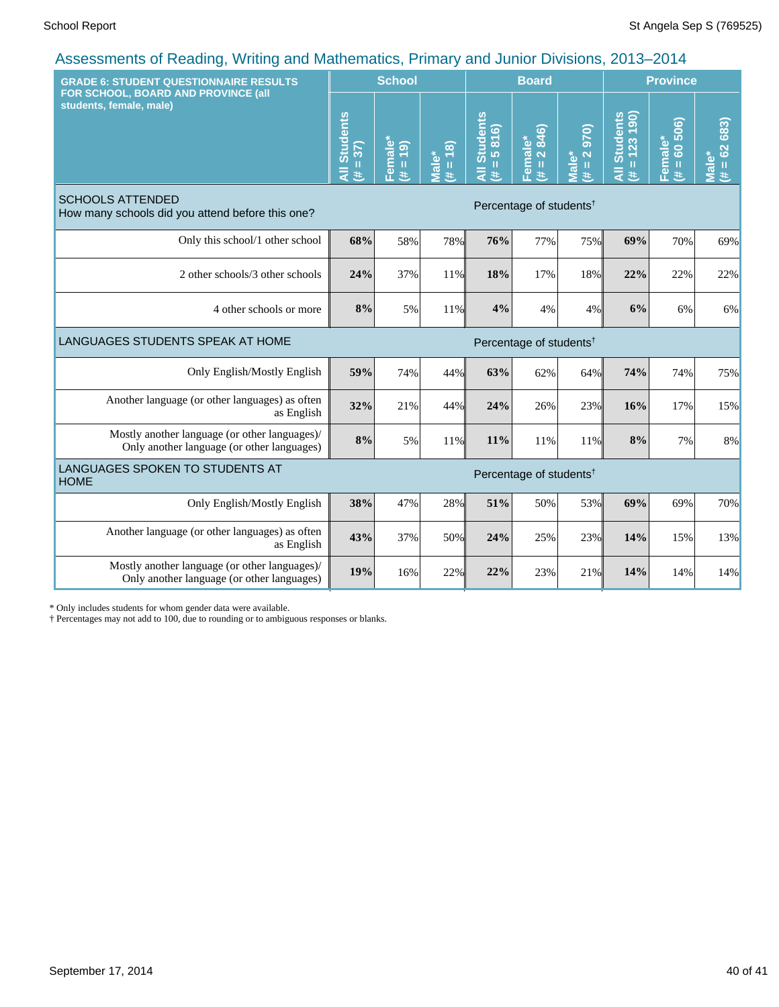| <b>GRADE 6: STUDENT QUESTIONNAIRE RESULTS</b><br>FOR SCHOOL, BOARD AND PROVINCE (all<br>students, female, male) |                                     | <b>School</b>                               |                                 |                               | <b>Board</b>           |                                      |                                          | <b>Province</b>         |                                  |  |
|-----------------------------------------------------------------------------------------------------------------|-------------------------------------|---------------------------------------------|---------------------------------|-------------------------------|------------------------|--------------------------------------|------------------------------------------|-------------------------|----------------------------------|--|
|                                                                                                                 |                                     | Female*<br>$\boxed{9}$<br>$\mathbf{u}$<br>美 | $(4 = 18)$<br>Male <sup>*</sup> | All Students<br>$= 5816$<br>苤 | Female*<br>(# = 2 846) | $\overline{0}$<br>$(H = 2)$<br>Male* | $= 123 190$<br><b>Students</b><br>₹<br>违 | Female*<br>(# = 60 506) | $# = 62683$<br><sup>≫</sup> sle™ |  |
| <b>SCHOOLS ATTENDED</b><br>How many schools did you attend before this one?                                     | Percentage of students <sup>†</sup> |                                             |                                 |                               |                        |                                      |                                          |                         |                                  |  |
| Only this school/1 other school                                                                                 | 68%                                 | 58%                                         | 78%                             | 76%                           | 77%                    | 75%                                  | 69%                                      | 70%                     | 69%                              |  |
| 2 other schools/3 other schools                                                                                 | 24%                                 | 37%                                         | 11%                             | 18%                           | 17%                    | 18%                                  | 22%                                      | 22%                     | 22%                              |  |
| 4 other schools or more                                                                                         | 8%                                  | 5%                                          | 11%                             | 4%                            | 4%                     | 4%                                   | 6%                                       | 6%                      | 6%                               |  |
| LANGUAGES STUDENTS SPEAK AT HOME<br>Percentage of students <sup>†</sup>                                         |                                     |                                             |                                 |                               |                        |                                      |                                          |                         |                                  |  |
| Only English/Mostly English                                                                                     | 59%                                 | 74%                                         | 44%                             | 63%                           | 62%                    | 64%                                  | 74%                                      | 74%                     | 75%                              |  |
| Another language (or other languages) as often<br>as English                                                    | 32%                                 | 21%                                         | 44%                             | 24%                           | 26%                    | 23%                                  | 16%                                      | 17%                     | 15%                              |  |
| Mostly another language (or other languages)/<br>Only another language (or other languages)                     | 8%                                  | 5%                                          | 11%                             | 11%                           | 11%                    | 11%                                  | 8%                                       | 7%                      | 8%                               |  |
| LANGUAGES SPOKEN TO STUDENTS AT<br>Percentage of students <sup>†</sup><br><b>HOME</b>                           |                                     |                                             |                                 |                               |                        |                                      |                                          |                         |                                  |  |
| Only English/Mostly English                                                                                     | 38%                                 | 47%                                         | 28%                             | 51%                           | 50%                    | 53%                                  | 69%                                      | 69%                     | 70%                              |  |
| Another language (or other languages) as often<br>as English                                                    | 43%                                 | 37%                                         | 50%                             | 24%                           | 25%                    | 23%                                  | 14%                                      | 15%                     | 13%                              |  |
| Mostly another language (or other languages)/<br>Only another language (or other languages)                     | 19%                                 | 16%                                         | 22%                             | 22%                           | 23%                    | 21%                                  | 14%                                      | 14%                     | 14%                              |  |

\* Only includes students for whom gender data were available.

† Percentages may not add to 100, due to rounding or to ambiguous responses or blanks.